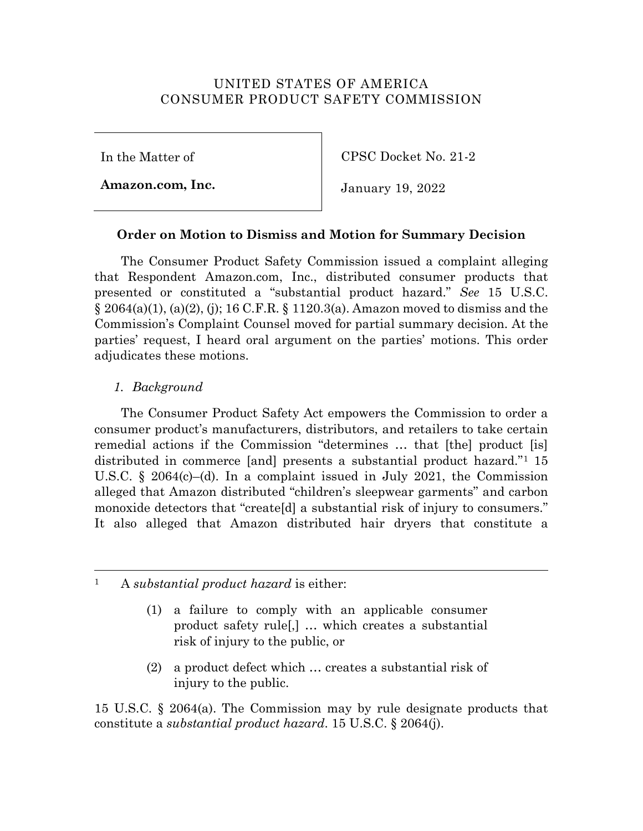# UNITED STATES OF AMERICA CONSUMER PRODUCT SAFETY COMMISSION

In the Matter of

**Amazon.com, Inc.**

CPSC Docket No. 21-2

January 19, 2022

# **Order on Motion to Dismiss and Motion for Summary Decision**

The Consumer Product Safety Commission issued a complaint alleging that Respondent Amazon.com, Inc., distributed consumer products that presented or constituted a "substantial product hazard." *See* 15 U.S.C.  $\S 2064(a)(1)$ , (a)(2), (j); 16 C.F.R.  $\S 1120.3(a)$ . Amazon moved to dismiss and the Commission's Complaint Counsel moved for partial summary decision. At the parties' request, I heard oral argument on the parties' motions. This order adjudicates these motions.

# *1. Background*

The Consumer Product Safety Act empowers the Commission to order a consumer product's manufacturers, distributors, and retailers to take certain remedial actions if the Commission "determines … that [the] product [is] distributed in commerce [and] presents a substantial product hazard."1 15 U.S.C. § 2064(c)–(d). In a complaint issued in July 2021, the Commission alleged that Amazon distributed "children's sleepwear garments" and carbon monoxide detectors that "create[d] a substantial risk of injury to consumers." It also alleged that Amazon distributed hair dryers that constitute a

1 A *substantial product hazard* is either:

- (1) a failure to comply with an applicable consumer product safety rule[,] … which creates a substantial risk of injury to the public, or
- (2) a product defect which … creates a substantial risk of injury to the public.

15 U.S.C. § 2064(a). The Commission may by rule designate products that constitute a *substantial product hazard*. 15 U.S.C. § 2064(j).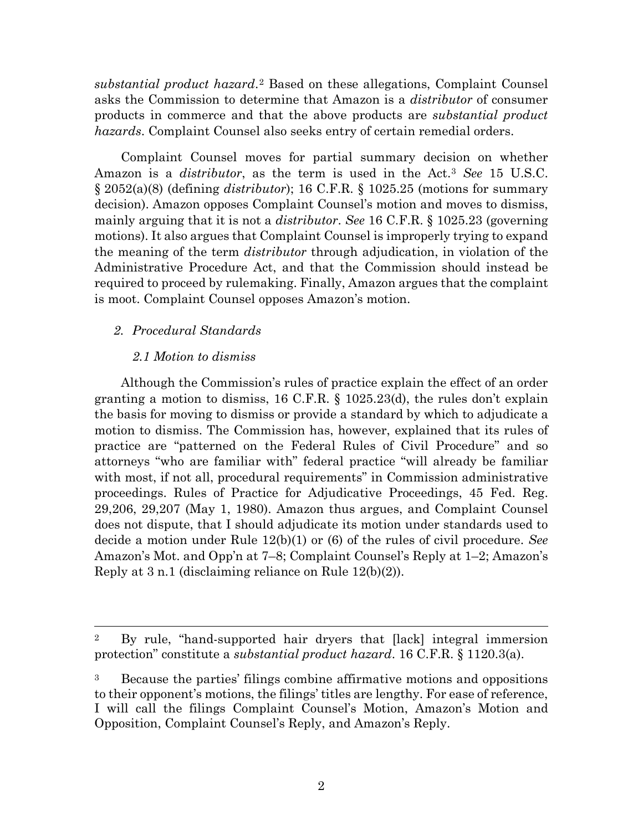*substantial product hazard*.2 Based on these allegations, Complaint Counsel asks the Commission to determine that Amazon is a *distributor* of consumer products in commerce and that the above products are *substantial product hazards*. Complaint Counsel also seeks entry of certain remedial orders.

Complaint Counsel moves for partial summary decision on whether Amazon is a *distributor*, as the term is used in the Act.3 *See* 15 U.S.C. § 2052(a)(8) (defining *distributor*); 16 C.F.R. § 1025.25 (motions for summary decision). Amazon opposes Complaint Counsel's motion and moves to dismiss, mainly arguing that it is not a *distributor*. *See* 16 C.F.R. § 1025.23 (governing motions). It also argues that Complaint Counsel is improperly trying to expand the meaning of the term *distributor* through adjudication, in violation of the Administrative Procedure Act, and that the Commission should instead be required to proceed by rulemaking. Finally, Amazon argues that the complaint is moot. Complaint Counsel opposes Amazon's motion.

### *2. Procedural Standards*

### *2.1 Motion to dismiss*

Although the Commission's rules of practice explain the effect of an order granting a motion to dismiss, 16 C.F.R. § 1025.23(d), the rules don't explain the basis for moving to dismiss or provide a standard by which to adjudicate a motion to dismiss. The Commission has, however, explained that its rules of practice are "patterned on the Federal Rules of Civil Procedure" and so attorneys "who are familiar with" federal practice "will already be familiar with most, if not all, procedural requirements" in Commission administrative proceedings. Rules of Practice for Adjudicative Proceedings, 45 Fed. Reg. 29,206, 29,207 (May 1, 1980). Amazon thus argues, and Complaint Counsel does not dispute, that I should adjudicate its motion under standards used to decide a motion under Rule 12(b)(1) or (6) of the rules of civil procedure. *See* Amazon's Mot. and Opp'n at 7–8; Complaint Counsel's Reply at 1–2; Amazon's Reply at 3 n.1 (disclaiming reliance on Rule 12(b)(2)).

<sup>&</sup>lt;sup>2</sup> By rule, "hand-supported hair dryers that [lack] integral immersion protection" constitute a *substantial product hazard*. 16 C.F.R. § 1120.3(a).

<sup>&</sup>lt;sup>3</sup> Because the parties' filings combine affirmative motions and oppositions to their opponent's motions, the filings' titles are lengthy. For ease of reference, I will call the filings Complaint Counsel's Motion, Amazon's Motion and Opposition, Complaint Counsel's Reply, and Amazon's Reply.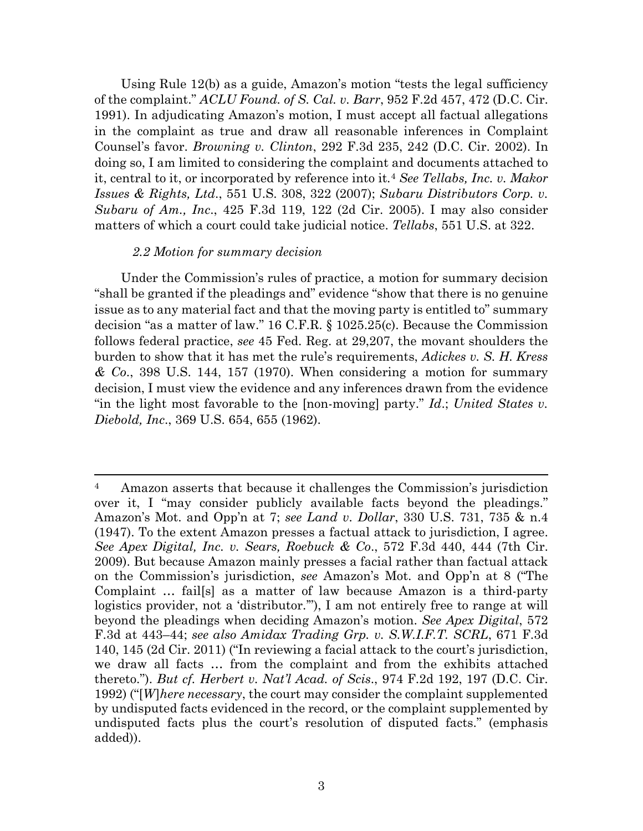Using Rule 12(b) as a guide, Amazon's motion "tests the legal sufficiency of the complaint." *ACLU Found. of S. Cal. v. Barr*, 952 F.2d 457, 472 (D.C. Cir. 1991). In adjudicating Amazon's motion, I must accept all factual allegations in the complaint as true and draw all reasonable inferences in Complaint Counsel's favor. *Browning v. Clinton*, 292 F.3d 235, 242 (D.C. Cir. 2002). In doing so, I am limited to considering the complaint and documents attached to it, central to it, or incorporated by reference into it.4 *See Tellabs, Inc. v. Makor Issues & Rights, Ltd*., 551 U.S. 308, 322 (2007); *Subaru Distributors Corp. v. Subaru of Am., Inc*., 425 F.3d 119, 122 (2d Cir. 2005). I may also consider matters of which a court could take judicial notice. *Tellabs*, 551 U.S. at 322.

#### *2.2 Motion for summary decision*

Under the Commission's rules of practice, a motion for summary decision "shall be granted if the pleadings and" evidence "show that there is no genuine issue as to any material fact and that the moving party is entitled to" summary decision "as a matter of law." 16 C.F.R. § 1025.25(c). Because the Commission follows federal practice, *see* 45 Fed. Reg. at 29,207, the movant shoulders the burden to show that it has met the rule's requirements, *Adickes v. S. H. Kress & Co*., 398 U.S. 144, 157 (1970). When considering a motion for summary decision, I must view the evidence and any inferences drawn from the evidence "in the light most favorable to the [non-moving] party." *Id*.; *United States v. Diebold, Inc*., 369 U.S. 654, 655 (1962).

 <sup>4</sup> Amazon asserts that because it challenges the Commission's jurisdiction over it, I "may consider publicly available facts beyond the pleadings." Amazon's Mot. and Opp'n at 7; *see Land v. Dollar*, 330 U.S. 731, 735 & n.4 (1947). To the extent Amazon presses a factual attack to jurisdiction, I agree. *See Apex Digital, Inc. v. Sears, Roebuck & Co*., 572 F.3d 440, 444 (7th Cir. 2009). But because Amazon mainly presses a facial rather than factual attack on the Commission's jurisdiction, *see* Amazon's Mot. and Opp'n at 8 ("The Complaint … fail[s] as a matter of law because Amazon is a third-party logistics provider, not a 'distributor.'"), I am not entirely free to range at will beyond the pleadings when deciding Amazon's motion. *See Apex Digital*, 572 F.3d at 443–44; *see also Amidax Trading Grp. v. S.W.I.F.T. SCRL*, 671 F.3d 140, 145 (2d Cir. 2011) ("In reviewing a facial attack to the court's jurisdiction, we draw all facts … from the complaint and from the exhibits attached thereto."). *But cf. Herbert v. Nat'l Acad. of Scis*., 974 F.2d 192, 197 (D.C. Cir. 1992) ("[*W*]*here necessary*, the court may consider the complaint supplemented by undisputed facts evidenced in the record, or the complaint supplemented by undisputed facts plus the court's resolution of disputed facts." (emphasis added)).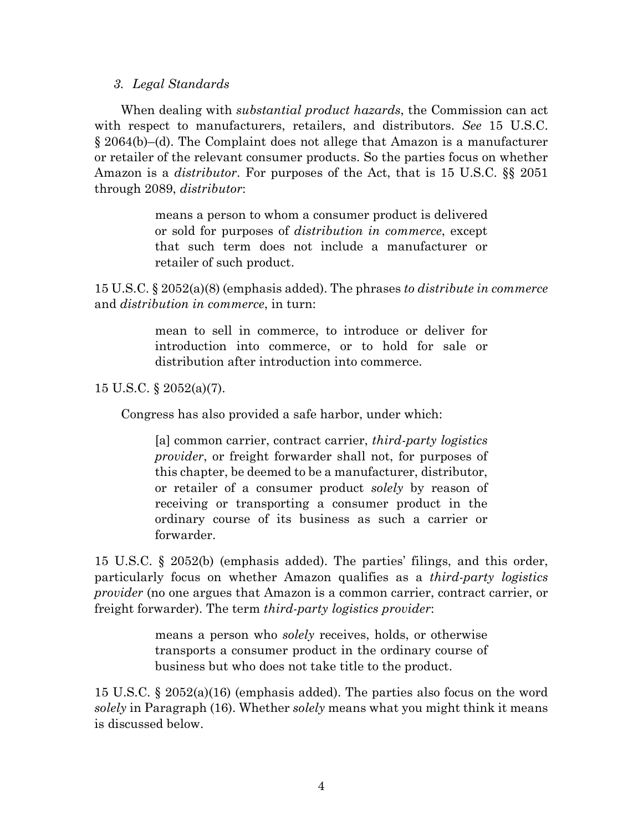### *3. Legal Standards*

When dealing with *substantial product hazards*, the Commission can act with respect to manufacturers, retailers, and distributors. *See* 15 U.S.C. § 2064(b)–(d). The Complaint does not allege that Amazon is a manufacturer or retailer of the relevant consumer products. So the parties focus on whether Amazon is a *distributor*. For purposes of the Act, that is 15 U.S.C. §§ 2051 through 2089, *distributor*:

> means a person to whom a consumer product is delivered or sold for purposes of *distribution in commerce*, except that such term does not include a manufacturer or retailer of such product.

15 U.S.C. § 2052(a)(8) (emphasis added). The phrases *to distribute in commerce* and *distribution in commerce*, in turn:

> mean to sell in commerce, to introduce or deliver for introduction into commerce, or to hold for sale or distribution after introduction into commerce.

15 U.S.C. § 2052(a)(7).

Congress has also provided a safe harbor, under which:

[a] common carrier, contract carrier, *third-party logistics provider*, or freight forwarder shall not, for purposes of this chapter, be deemed to be a manufacturer, distributor, or retailer of a consumer product *solely* by reason of receiving or transporting a consumer product in the ordinary course of its business as such a carrier or forwarder.

15 U.S.C. § 2052(b) (emphasis added). The parties' filings, and this order, particularly focus on whether Amazon qualifies as a *third-party logistics provider* (no one argues that Amazon is a common carrier, contract carrier, or freight forwarder). The term *third-party logistics provider*:

> means a person who *solely* receives, holds, or otherwise transports a consumer product in the ordinary course of business but who does not take title to the product.

15 U.S.C. § 2052(a)(16) (emphasis added). The parties also focus on the word *solely* in Paragraph (16). Whether *solely* means what you might think it means is discussed below.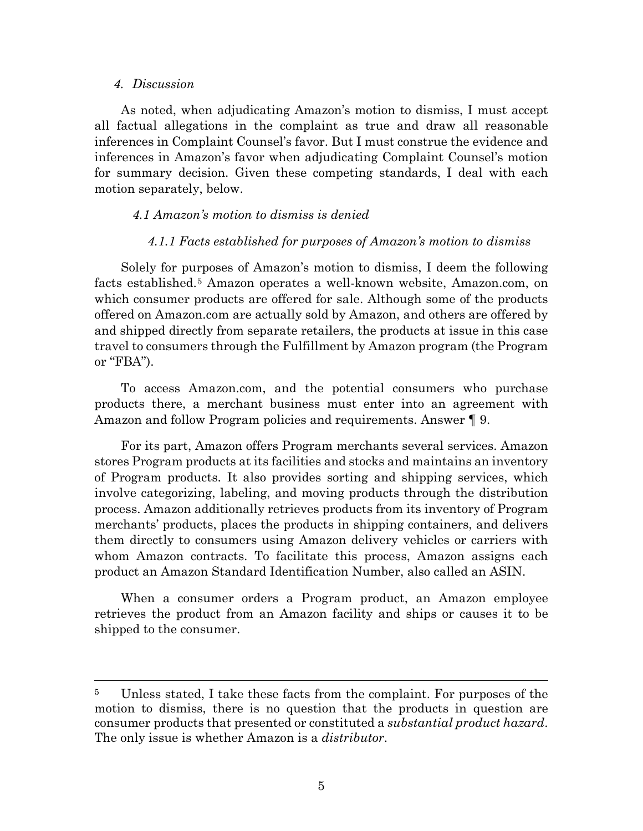#### *4. Discussion*

As noted, when adjudicating Amazon's motion to dismiss, I must accept all factual allegations in the complaint as true and draw all reasonable inferences in Complaint Counsel's favor. But I must construe the evidence and inferences in Amazon's favor when adjudicating Complaint Counsel's motion for summary decision. Given these competing standards, I deal with each motion separately, below.

#### *4.1 Amazon's motion to dismiss is denied*

### *4.1.1 Facts established for purposes of Amazon's motion to dismiss*

Solely for purposes of Amazon's motion to dismiss, I deem the following facts established.5 Amazon operates a well-known website, Amazon.com, on which consumer products are offered for sale. Although some of the products offered on Amazon.com are actually sold by Amazon, and others are offered by and shipped directly from separate retailers, the products at issue in this case travel to consumers through the Fulfillment by Amazon program (the Program or "FBA").

To access Amazon.com, and the potential consumers who purchase products there, a merchant business must enter into an agreement with Amazon and follow Program policies and requirements. Answer ¶ 9.

For its part, Amazon offers Program merchants several services. Amazon stores Program products at its facilities and stocks and maintains an inventory of Program products. It also provides sorting and shipping services, which involve categorizing, labeling, and moving products through the distribution process. Amazon additionally retrieves products from its inventory of Program merchants' products, places the products in shipping containers, and delivers them directly to consumers using Amazon delivery vehicles or carriers with whom Amazon contracts. To facilitate this process, Amazon assigns each product an Amazon Standard Identification Number, also called an ASIN.

When a consumer orders a Program product, an Amazon employee retrieves the product from an Amazon facility and ships or causes it to be shipped to the consumer.

 <sup>5</sup> Unless stated, I take these facts from the complaint. For purposes of the motion to dismiss, there is no question that the products in question are consumer products that presented or constituted a *substantial product hazard*. The only issue is whether Amazon is a *distributor*.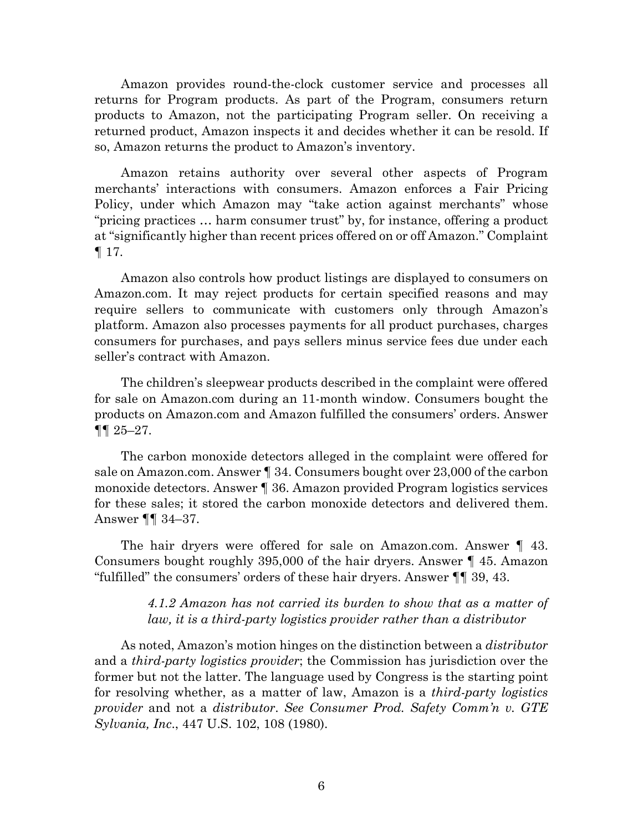Amazon provides round-the-clock customer service and processes all returns for Program products. As part of the Program, consumers return products to Amazon, not the participating Program seller. On receiving a returned product, Amazon inspects it and decides whether it can be resold. If so, Amazon returns the product to Amazon's inventory.

Amazon retains authority over several other aspects of Program merchants' interactions with consumers. Amazon enforces a Fair Pricing Policy, under which Amazon may "take action against merchants" whose "pricing practices … harm consumer trust" by, for instance, offering a product at "significantly higher than recent prices offered on or off Amazon." Complaint ¶ 17.

Amazon also controls how product listings are displayed to consumers on Amazon.com. It may reject products for certain specified reasons and may require sellers to communicate with customers only through Amazon's platform. Amazon also processes payments for all product purchases, charges consumers for purchases, and pays sellers minus service fees due under each seller's contract with Amazon.

The children's sleepwear products described in the complaint were offered for sale on Amazon.com during an 11-month window. Consumers bought the products on Amazon.com and Amazon fulfilled the consumers' orders. Answer ¶¶ 25–27.

The carbon monoxide detectors alleged in the complaint were offered for sale on Amazon.com. Answer ¶ 34. Consumers bought over 23,000 of the carbon monoxide detectors. Answer ¶ 36. Amazon provided Program logistics services for these sales; it stored the carbon monoxide detectors and delivered them. Answer ¶¶ 34–37.

The hair dryers were offered for sale on Amazon.com. Answer ¶ 43. Consumers bought roughly 395,000 of the hair dryers. Answer ¶ 45. Amazon "fulfilled" the consumers' orders of these hair dryers. Answer ¶¶ 39, 43.

### *4.1.2 Amazon has not carried its burden to show that as a matter of law, it is a third-party logistics provider rather than a distributor*

As noted, Amazon's motion hinges on the distinction between a *distributor* and a *third-party logistics provider*; the Commission has jurisdiction over the former but not the latter. The language used by Congress is the starting point for resolving whether, as a matter of law, Amazon is a *third-party logistics provider* and not a *distributor*. *See Consumer Prod. Safety Comm'n v. GTE Sylvania, Inc*., 447 U.S. 102, 108 (1980).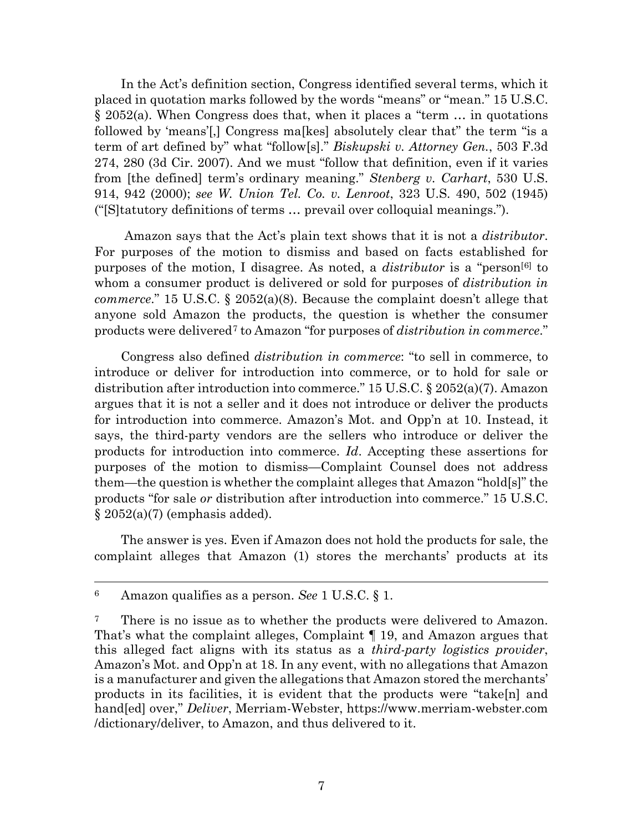In the Act's definition section, Congress identified several terms, which it placed in quotation marks followed by the words "means" or "mean." 15 U.S.C. § 2052(a). When Congress does that, when it places a "term … in quotations followed by 'means'[,] Congress ma[kes] absolutely clear that" the term "is a term of art defined by" what "follow[s]." *Biskupski v. Attorney Gen.*, 503 F.3d 274, 280 (3d Cir. 2007). And we must "follow that definition, even if it varies from [the defined] term's ordinary meaning." *Stenberg v. Carhart*, 530 U.S. 914, 942 (2000); *see W. Union Tel. Co. v. Lenroot*, 323 U.S. 490, 502 (1945) ("[S]tatutory definitions of terms … prevail over colloquial meanings.").

Amazon says that the Act's plain text shows that it is not a *distributor*. For purposes of the motion to dismiss and based on facts established for purposes of the motion, I disagree. As noted, a *distributor* is a "person[6] to whom a consumer product is delivered or sold for purposes of *distribution in commerce*." 15 U.S.C. § 2052(a)(8). Because the complaint doesn't allege that anyone sold Amazon the products, the question is whether the consumer products were delivered7 to Amazon "for purposes of *distribution in commerce*."

Congress also defined *distribution in commerce*: "to sell in commerce, to introduce or deliver for introduction into commerce, or to hold for sale or distribution after introduction into commerce." 15 U.S.C. § 2052(a)(7). Amazon argues that it is not a seller and it does not introduce or deliver the products for introduction into commerce. Amazon's Mot. and Opp'n at 10. Instead, it says, the third-party vendors are the sellers who introduce or deliver the products for introduction into commerce. *Id*. Accepting these assertions for purposes of the motion to dismiss—Complaint Counsel does not address them—the question is whether the complaint alleges that Amazon "hold[s]" the products "for sale *or* distribution after introduction into commerce." 15 U.S.C.  $\S 2052(a)(7)$  (emphasis added).

The answer is yes. Even if Amazon does not hold the products for sale, the complaint alleges that Amazon (1) stores the merchants' products at its

 <sup>6</sup> Amazon qualifies as a person. *See* 1 U.S.C. § 1.

<sup>&</sup>lt;sup>7</sup> There is no issue as to whether the products were delivered to Amazon. That's what the complaint alleges, Complaint ¶ 19, and Amazon argues that this alleged fact aligns with its status as a *third-party logistics provider*, Amazon's Mot. and Opp'n at 18. In any event, with no allegations that Amazon is a manufacturer and given the allegations that Amazon stored the merchants' products in its facilities, it is evident that the products were "take[n] and hand[ed] over," *Deliver*, Merriam-Webster, https://www.merriam-webster.com /dictionary/deliver, to Amazon, and thus delivered to it.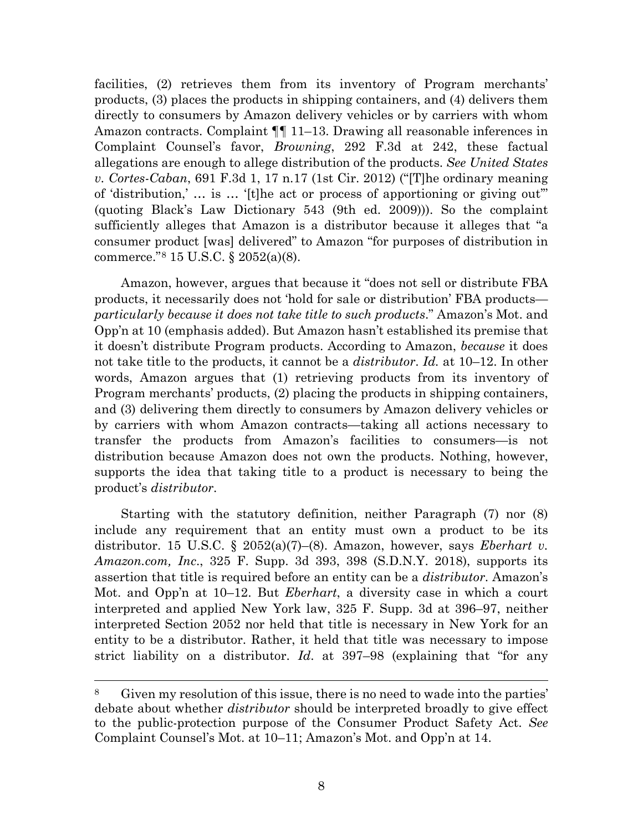facilities, (2) retrieves them from its inventory of Program merchants' products, (3) places the products in shipping containers, and (4) delivers them directly to consumers by Amazon delivery vehicles or by carriers with whom Amazon contracts. Complaint ¶¶ 11–13. Drawing all reasonable inferences in Complaint Counsel's favor, *Browning*, 292 F.3d at 242, these factual allegations are enough to allege distribution of the products. *See United States v. Cortes-Caban*, 691 F.3d 1, 17 n.17 (1st Cir. 2012) ("[T]he ordinary meaning of 'distribution,' … is … '[t]he act or process of apportioning or giving out'" (quoting Black's Law Dictionary 543 (9th ed. 2009))). So the complaint sufficiently alleges that Amazon is a distributor because it alleges that "a consumer product [was] delivered" to Amazon "for purposes of distribution in commerce."8 15 U.S.C. § 2052(a)(8).

Amazon, however, argues that because it "does not sell or distribute FBA products, it necessarily does not 'hold for sale or distribution' FBA products *particularly because it does not take title to such products*." Amazon's Mot. and Opp'n at 10 (emphasis added). But Amazon hasn't established its premise that it doesn't distribute Program products. According to Amazon, *because* it does not take title to the products, it cannot be a *distributor*. *Id.* at 10–12. In other words, Amazon argues that (1) retrieving products from its inventory of Program merchants' products, (2) placing the products in shipping containers, and (3) delivering them directly to consumers by Amazon delivery vehicles or by carriers with whom Amazon contracts—taking all actions necessary to transfer the products from Amazon's facilities to consumers—is not distribution because Amazon does not own the products. Nothing, however, supports the idea that taking title to a product is necessary to being the product's *distributor*.

Starting with the statutory definition, neither Paragraph (7) nor (8) include any requirement that an entity must own a product to be its distributor. 15 U.S.C. § 2052(a)(7)–(8). Amazon, however, says *Eberhart v. Amazon.com, Inc*., 325 F. Supp. 3d 393, 398 (S.D.N.Y. 2018), supports its assertion that title is required before an entity can be a *distributor*. Amazon's Mot. and Opp'n at 10–12. But *Eberhart*, a diversity case in which a court interpreted and applied New York law, 325 F. Supp. 3d at 396–97, neither interpreted Section 2052 nor held that title is necessary in New York for an entity to be a distributor. Rather, it held that title was necessary to impose strict liability on a distributor. *Id*. at 397–98 (explaining that "for any

 <sup>8</sup> Given my resolution of this issue, there is no need to wade into the parties' debate about whether *distributor* should be interpreted broadly to give effect to the public-protection purpose of the Consumer Product Safety Act. *See* Complaint Counsel's Mot. at 10–11; Amazon's Mot. and Opp'n at 14.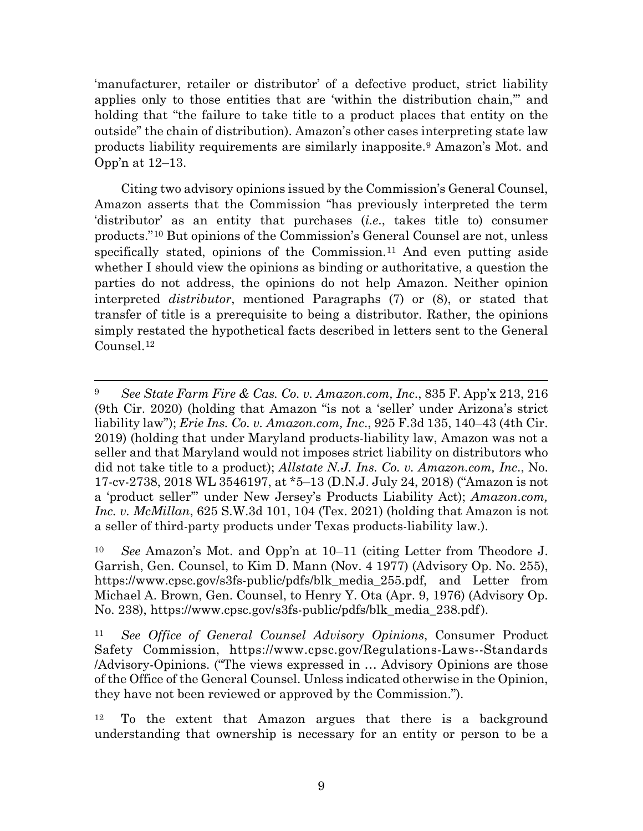'manufacturer, retailer or distributor' of a defective product, strict liability applies only to those entities that are 'within the distribution chain,'" and holding that "the failure to take title to a product places that entity on the outside" the chain of distribution). Amazon's other cases interpreting state law products liability requirements are similarly inapposite.9 Amazon's Mot. and Opp'n at 12–13.

Citing two advisory opinions issued by the Commission's General Counsel, Amazon asserts that the Commission "has previously interpreted the term 'distributor' as an entity that purchases (*i.e*., takes title to) consumer products."10 But opinions of the Commission's General Counsel are not, unless specifically stated, opinions of the Commission.<sup>11</sup> And even putting aside whether I should view the opinions as binding or authoritative, a question the parties do not address, the opinions do not help Amazon. Neither opinion interpreted *distributor*, mentioned Paragraphs (7) or (8), or stated that transfer of title is a prerequisite to being a distributor. Rather, the opinions simply restated the hypothetical facts described in letters sent to the General Counsel.12

 <sup>9</sup> *See State Farm Fire & Cas. Co. v. Amazon.com, Inc*., 835 F. App'x 213, 216 (9th Cir. 2020) (holding that Amazon "is not a 'seller' under Arizona's strict liability law"); *Erie Ins. Co. v. Amazon.com, Inc*., 925 F.3d 135, 140–43 (4th Cir. 2019) (holding that under Maryland products-liability law, Amazon was not a seller and that Maryland would not imposes strict liability on distributors who did not take title to a product); *Allstate N.J. Ins. Co. v. Amazon.com, Inc*., No. 17-cv-2738, 2018 WL 3546197, at \*5–13 (D.N.J. July 24, 2018) ("Amazon is not a 'product seller'" under New Jersey's Products Liability Act); *Amazon.com, Inc. v. McMillan*, 625 S.W.3d 101, 104 (Tex. 2021) (holding that Amazon is not a seller of third-party products under Texas products-liability law.).

<sup>10</sup> *See* Amazon's Mot. and Opp'n at 10–11 (citing Letter from Theodore J. Garrish, Gen. Counsel, to Kim D. Mann (Nov. 4 1977) (Advisory Op. No. 255), https://www.cpsc.gov/s3fs-public/pdfs/blk\_media\_255.pdf, and Letter from Michael A. Brown, Gen. Counsel, to Henry Y. Ota (Apr. 9, 1976) (Advisory Op. No. 238), https://www.cpsc.gov/s3fs-public/pdfs/blk\_media\_238.pdf).

<sup>11</sup> *See Office of General Counsel Advisory Opinions*, Consumer Product Safety Commission, https://www.cpsc.gov/Regulations-Laws--Standards /Advisory-Opinions. ("The views expressed in … Advisory Opinions are those of the Office of the General Counsel. Unless indicated otherwise in the Opinion, they have not been reviewed or approved by the Commission.").

<sup>&</sup>lt;sup>12</sup> To the extent that Amazon argues that there is a background understanding that ownership is necessary for an entity or person to be a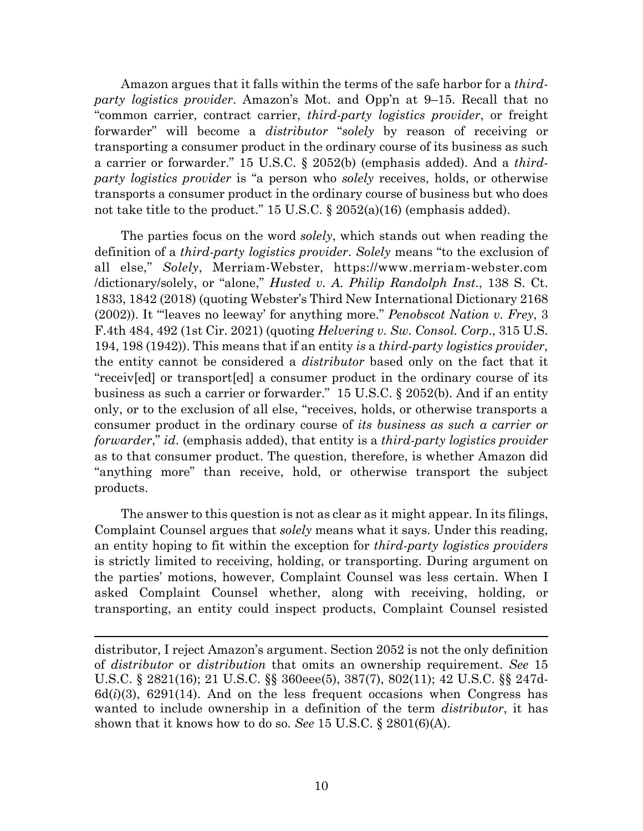Amazon argues that it falls within the terms of the safe harbor for a *thirdparty logistics provider*. Amazon's Mot. and Opp'n at 9–15. Recall that no "common carrier, contract carrier, *third-party logistics provider*, or freight forwarder" will become a *distributor* "*solely* by reason of receiving or transporting a consumer product in the ordinary course of its business as such a carrier or forwarder." 15 U.S.C. § 2052(b) (emphasis added). And a *thirdparty logistics provider* is "a person who *solely* receives, holds, or otherwise transports a consumer product in the ordinary course of business but who does not take title to the product." 15 U.S.C. § 2052(a)(16) (emphasis added).

The parties focus on the word *solely*, which stands out when reading the definition of a *third-party logistics provider*. *Solely* means "to the exclusion of all else," *Solely*, Merriam-Webster, https://www.merriam-webster.com /dictionary/solely, or "alone," *Husted v. A. Philip Randolph Inst*., 138 S. Ct. 1833, 1842 (2018) (quoting Webster's Third New International Dictionary 2168 (2002)). It "'leaves no leeway' for anything more." *Penobscot Nation v. Frey*, 3 F.4th 484, 492 (1st Cir. 2021) (quoting *Helvering v. Sw. Consol. Corp*., 315 U.S. 194, 198 (1942)). This means that if an entity *is* a *third-party logistics provider*, the entity cannot be considered a *distributor* based only on the fact that it "receiv[ed] or transport[ed] a consumer product in the ordinary course of its business as such a carrier or forwarder." 15 U.S.C. § 2052(b). And if an entity only, or to the exclusion of all else, "receives, holds, or otherwise transports a consumer product in the ordinary course of *its business as such a carrier or forwarder*," *id*. (emphasis added), that entity is a *third-party logistics provider* as to that consumer product. The question, therefore, is whether Amazon did "anything more" than receive, hold, or otherwise transport the subject products.

The answer to this question is not as clear as it might appear. In its filings, Complaint Counsel argues that *solely* means what it says. Under this reading, an entity hoping to fit within the exception for *third-party logistics providers* is strictly limited to receiving, holding, or transporting. During argument on the parties' motions, however, Complaint Counsel was less certain. When I asked Complaint Counsel whether, along with receiving, holding, or transporting, an entity could inspect products, Complaint Counsel resisted

distributor, I reject Amazon's argument. Section 2052 is not the only definition of *distributor* or *distribution* that omits an ownership requirement. *See* 15 U.S.C. § 2821(16); 21 U.S.C. §§ 360eee(5), 387(7), 802(11); 42 U.S.C. §§ 247d- $6d(i)(3)$ ,  $6291(14)$ . And on the less frequent occasions when Congress has wanted to include ownership in a definition of the term *distributor*, it has shown that it knows how to do so. *See* 15 U.S.C. § 2801(6)(A).

 $\overline{a}$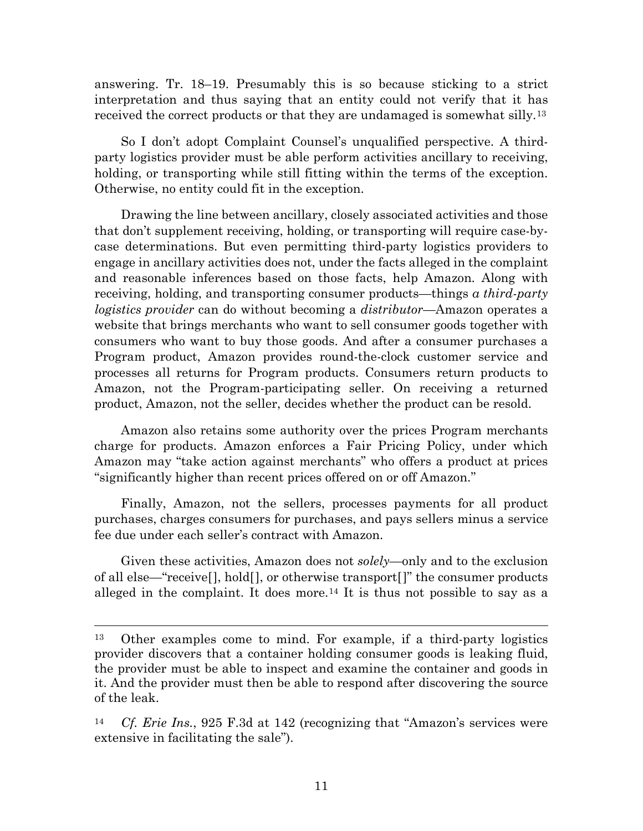answering. Tr. 18–19. Presumably this is so because sticking to a strict interpretation and thus saying that an entity could not verify that it has received the correct products or that they are undamaged is somewhat silly.13

So I don't adopt Complaint Counsel's unqualified perspective. A thirdparty logistics provider must be able perform activities ancillary to receiving, holding, or transporting while still fitting within the terms of the exception. Otherwise, no entity could fit in the exception.

Drawing the line between ancillary, closely associated activities and those that don't supplement receiving, holding, or transporting will require case-bycase determinations. But even permitting third-party logistics providers to engage in ancillary activities does not, under the facts alleged in the complaint and reasonable inferences based on those facts, help Amazon. Along with receiving, holding, and transporting consumer products—things *a third-party logistics provider* can do without becoming a *distributor*—Amazon operates a website that brings merchants who want to sell consumer goods together with consumers who want to buy those goods. And after a consumer purchases a Program product, Amazon provides round-the-clock customer service and processes all returns for Program products. Consumers return products to Amazon, not the Program-participating seller. On receiving a returned product, Amazon, not the seller, decides whether the product can be resold.

Amazon also retains some authority over the prices Program merchants charge for products. Amazon enforces a Fair Pricing Policy, under which Amazon may "take action against merchants" who offers a product at prices "significantly higher than recent prices offered on or off Amazon."

Finally, Amazon, not the sellers, processes payments for all product purchases, charges consumers for purchases, and pays sellers minus a service fee due under each seller's contract with Amazon.

Given these activities, Amazon does not *solely*—only and to the exclusion of all else—"receive[], hold[], or otherwise transport[]" the consumer products alleged in the complaint. It does more.<sup>14</sup> It is thus not possible to say as a

 <sup>13</sup> Other examples come to mind. For example, if a third-party logistics provider discovers that a container holding consumer goods is leaking fluid, the provider must be able to inspect and examine the container and goods in it. And the provider must then be able to respond after discovering the source of the leak.

<sup>14</sup> *Cf. Erie Ins.*, 925 F.3d at 142 (recognizing that "Amazon's services were extensive in facilitating the sale").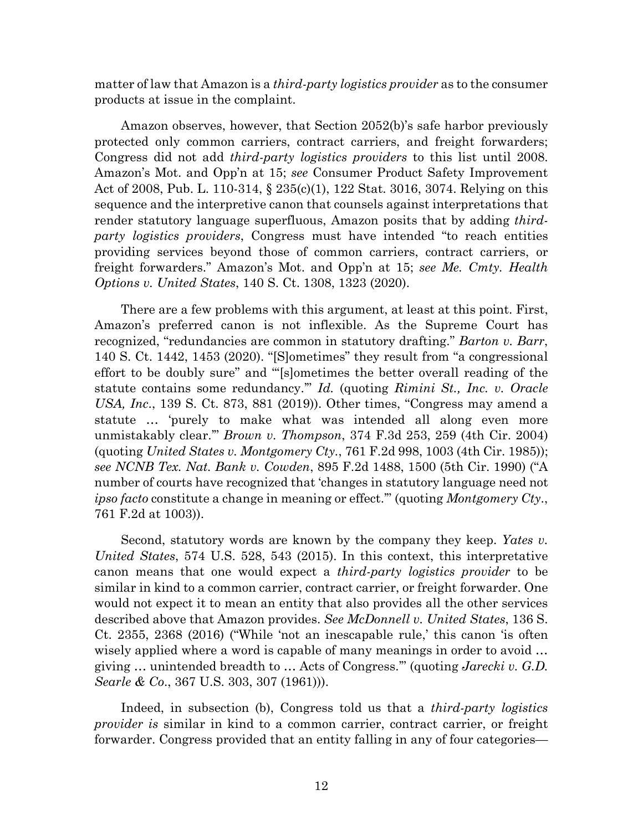matter of law that Amazon is a *third-party logistics provider* as to the consumer products at issue in the complaint.

Amazon observes, however, that Section 2052(b)'s safe harbor previously protected only common carriers, contract carriers, and freight forwarders; Congress did not add *third-party logistics providers* to this list until 2008. Amazon's Mot. and Opp'n at 15; *see* Consumer Product Safety Improvement Act of 2008, Pub. L. 110-314, § 235(c)(1), 122 Stat. 3016, 3074. Relying on this sequence and the interpretive canon that counsels against interpretations that render statutory language superfluous, Amazon posits that by adding *thirdparty logistics providers*, Congress must have intended "to reach entities providing services beyond those of common carriers, contract carriers, or freight forwarders." Amazon's Mot. and Opp'n at 15; *see Me. Cmty. Health Options v. United States*, 140 S. Ct. 1308, 1323 (2020).

There are a few problems with this argument, at least at this point. First, Amazon's preferred canon is not inflexible. As the Supreme Court has recognized, "redundancies are common in statutory drafting." *Barton v. Barr*, 140 S. Ct. 1442, 1453 (2020). "[S]ometimes" they result from "a congressional effort to be doubly sure" and "'[s]ometimes the better overall reading of the statute contains some redundancy.'" *Id.* (quoting *Rimini St., Inc. v. Oracle USA, Inc*., 139 S. Ct. 873, 881 (2019)). Other times, "Congress may amend a statute … 'purely to make what was intended all along even more unmistakably clear.'" *Brown v. Thompson*, 374 F.3d 253, 259 (4th Cir. 2004) (quoting *United States v. Montgomery Cty.*, 761 F.2d 998, 1003 (4th Cir. 1985)); *see NCNB Tex. Nat. Bank v. Cowden*, 895 F.2d 1488, 1500 (5th Cir. 1990) ("A number of courts have recognized that 'changes in statutory language need not *ipso facto* constitute a change in meaning or effect.'" (quoting *Montgomery Cty*., 761 F.2d at 1003)).

Second, statutory words are known by the company they keep. *Yates v. United States*, 574 U.S. 528, 543 (2015). In this context, this interpretative canon means that one would expect a *third-party logistics provider* to be similar in kind to a common carrier, contract carrier, or freight forwarder. One would not expect it to mean an entity that also provides all the other services described above that Amazon provides. *See McDonnell v. United States*, 136 S. Ct. 2355, 2368 (2016) ("While 'not an inescapable rule,' this canon 'is often wisely applied where a word is capable of many meanings in order to avoid … giving … unintended breadth to … Acts of Congress.'" (quoting *Jarecki v. G.D. Searle & Co*., 367 U.S. 303, 307 (1961))).

Indeed, in subsection (b), Congress told us that a *third-party logistics provider is* similar in kind to a common carrier, contract carrier, or freight forwarder. Congress provided that an entity falling in any of four categories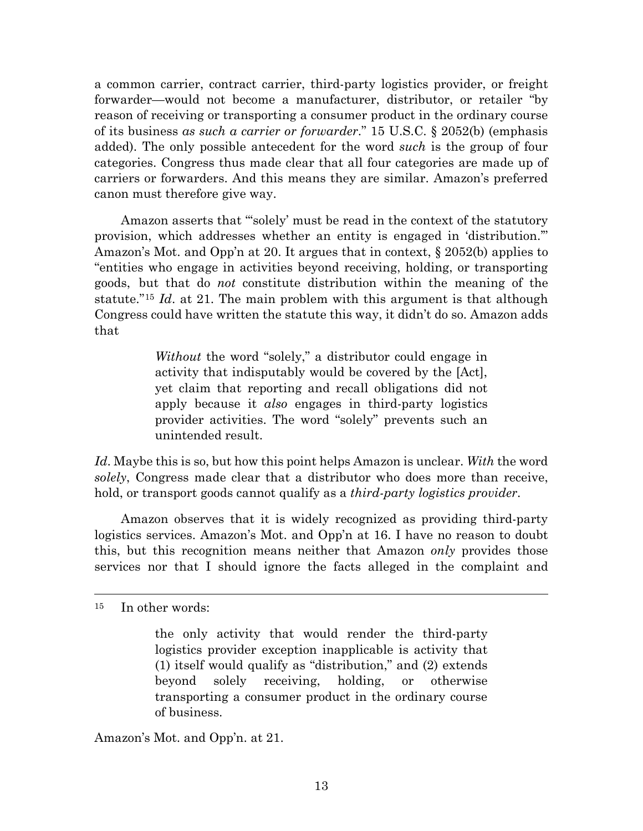a common carrier, contract carrier, third-party logistics provider, or freight forwarder—would not become a manufacturer, distributor, or retailer "by reason of receiving or transporting a consumer product in the ordinary course of its business *as such a carrier or forwarder*." 15 U.S.C. § 2052(b) (emphasis added). The only possible antecedent for the word *such* is the group of four categories. Congress thus made clear that all four categories are made up of carriers or forwarders. And this means they are similar. Amazon's preferred canon must therefore give way.

Amazon asserts that "'solely' must be read in the context of the statutory provision, which addresses whether an entity is engaged in 'distribution.'" Amazon's Mot. and Opp'n at 20. It argues that in context,  $\S 2052(b)$  applies to "entities who engage in activities beyond receiving, holding, or transporting goods, but that do *not* constitute distribution within the meaning of the statute."15 *Id*. at 21. The main problem with this argument is that although Congress could have written the statute this way, it didn't do so. Amazon adds that

> *Without* the word "solely," a distributor could engage in activity that indisputably would be covered by the [Act], yet claim that reporting and recall obligations did not apply because it *also* engages in third-party logistics provider activities. The word "solely" prevents such an unintended result.

*Id*. Maybe this is so, but how this point helps Amazon is unclear. *With* the word *solely*, Congress made clear that a distributor who does more than receive, hold, or transport goods cannot qualify as a *third-party logistics provider*.

Amazon observes that it is widely recognized as providing third-party logistics services. Amazon's Mot. and Opp'n at 16. I have no reason to doubt this, but this recognition means neither that Amazon *only* provides those services nor that I should ignore the facts alleged in the complaint and

Amazon's Mot. and Opp'n. at 21.

 <sup>15</sup> In other words:

the only activity that would render the third-party logistics provider exception inapplicable is activity that (1) itself would qualify as "distribution," and (2) extends beyond solely receiving, holding, or otherwise transporting a consumer product in the ordinary course of business.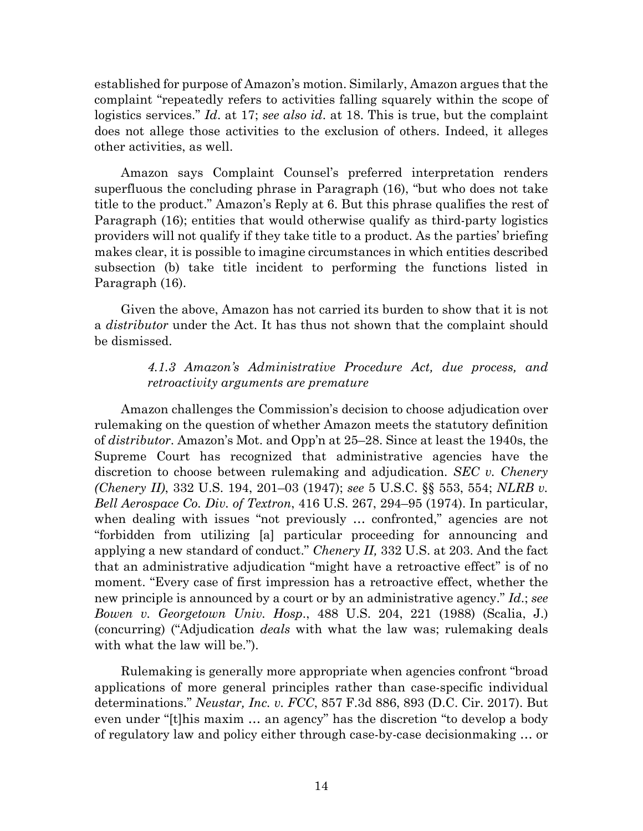established for purpose of Amazon's motion. Similarly, Amazon argues that the complaint "repeatedly refers to activities falling squarely within the scope of logistics services." *Id*. at 17; *see also id*. at 18. This is true, but the complaint does not allege those activities to the exclusion of others. Indeed, it alleges other activities, as well.

Amazon says Complaint Counsel's preferred interpretation renders superfluous the concluding phrase in Paragraph (16), "but who does not take title to the product." Amazon's Reply at 6. But this phrase qualifies the rest of Paragraph (16); entities that would otherwise qualify as third-party logistics providers will not qualify if they take title to a product. As the parties' briefing makes clear, it is possible to imagine circumstances in which entities described subsection (b) take title incident to performing the functions listed in Paragraph (16).

Given the above, Amazon has not carried its burden to show that it is not a *distributor* under the Act. It has thus not shown that the complaint should be dismissed.

# *4.1.3 Amazon's Administrative Procedure Act, due process, and retroactivity arguments are premature*

Amazon challenges the Commission's decision to choose adjudication over rulemaking on the question of whether Amazon meets the statutory definition of *distributor*. Amazon's Mot. and Opp'n at 25–28. Since at least the 1940s, the Supreme Court has recognized that administrative agencies have the discretion to choose between rulemaking and adjudication. *SEC v. Chenery (Chenery II)*, 332 U.S. 194, 201–03 (1947); *see* 5 U.S.C. §§ 553, 554; *NLRB v. Bell Aerospace Co. Div. of Textron*, 416 U.S. 267, 294–95 (1974). In particular, when dealing with issues "not previously ... confronted," agencies are not "forbidden from utilizing [a] particular proceeding for announcing and applying a new standard of conduct." *Chenery II,* 332 U.S. at 203. And the fact that an administrative adjudication "might have a retroactive effect" is of no moment. "Every case of first impression has a retroactive effect, whether the new principle is announced by a court or by an administrative agency." *Id*.; *see Bowen v. Georgetown Univ. Hosp*., 488 U.S. 204, 221 (1988) (Scalia, J.) (concurring) ("Adjudication *deals* with what the law was; rulemaking deals with what the law will be.").

Rulemaking is generally more appropriate when agencies confront "broad applications of more general principles rather than case-specific individual determinations." *Neustar, Inc. v. FCC*, 857 F.3d 886, 893 (D.C. Cir. 2017). But even under "[t]his maxim … an agency" has the discretion "to develop a body of regulatory law and policy either through case-by-case decisionmaking … or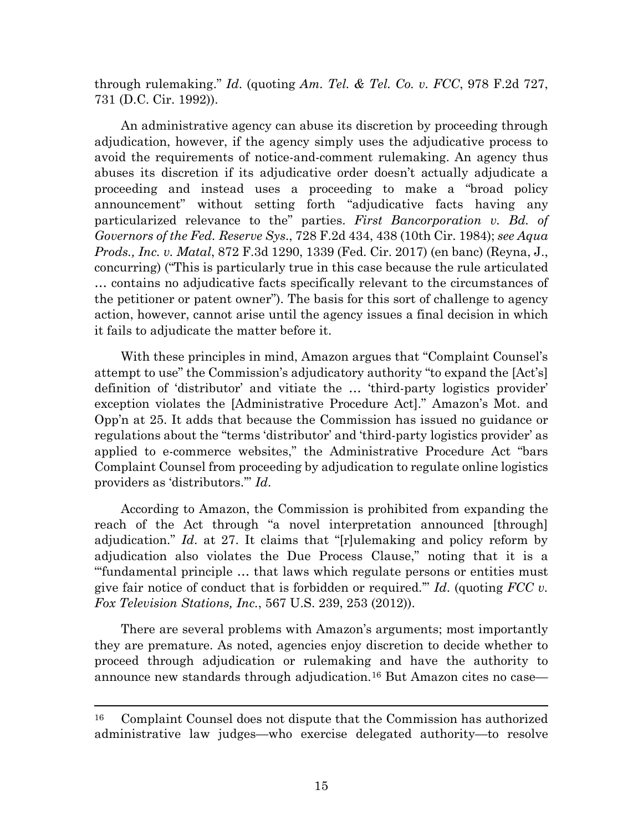through rulemaking." *Id*. (quoting *Am. Tel. & Tel. Co. v. FCC*, 978 F.2d 727, 731 (D.C. Cir. 1992)).

An administrative agency can abuse its discretion by proceeding through adjudication, however, if the agency simply uses the adjudicative process to avoid the requirements of notice-and-comment rulemaking. An agency thus abuses its discretion if its adjudicative order doesn't actually adjudicate a proceeding and instead uses a proceeding to make a "broad policy announcement" without setting forth "adjudicative facts having any particularized relevance to the" parties. *First Bancorporation v. Bd. of Governors of the Fed. Reserve Sys*., 728 F.2d 434, 438 (10th Cir. 1984); *see Aqua Prods., Inc. v. Matal*, 872 F.3d 1290, 1339 (Fed. Cir. 2017) (en banc) (Reyna, J., concurring) ("This is particularly true in this case because the rule articulated … contains no adjudicative facts specifically relevant to the circumstances of the petitioner or patent owner"). The basis for this sort of challenge to agency action, however, cannot arise until the agency issues a final decision in which it fails to adjudicate the matter before it.

With these principles in mind, Amazon argues that "Complaint Counsel's attempt to use" the Commission's adjudicatory authority "to expand the [Act's] definition of 'distributor' and vitiate the … 'third-party logistics provider' exception violates the [Administrative Procedure Act]." Amazon's Mot. and Opp'n at 25. It adds that because the Commission has issued no guidance or regulations about the "terms 'distributor' and 'third-party logistics provider' as applied to e-commerce websites," the Administrative Procedure Act "bars Complaint Counsel from proceeding by adjudication to regulate online logistics providers as 'distributors.'" *Id*.

According to Amazon, the Commission is prohibited from expanding the reach of the Act through "a novel interpretation announced [through] adjudication." *Id*. at 27. It claims that "[r]ulemaking and policy reform by adjudication also violates the Due Process Clause," noting that it is a "'fundamental principle … that laws which regulate persons or entities must give fair notice of conduct that is forbidden or required.'" *Id*. (quoting *FCC v. Fox Television Stations, Inc.*, 567 U.S. 239, 253 (2012)).

There are several problems with Amazon's arguments; most importantly they are premature. As noted, agencies enjoy discretion to decide whether to proceed through adjudication or rulemaking and have the authority to announce new standards through adjudication.16 But Amazon cites no case—

 <sup>16</sup> Complaint Counsel does not dispute that the Commission has authorized administrative law judges—who exercise delegated authority—to resolve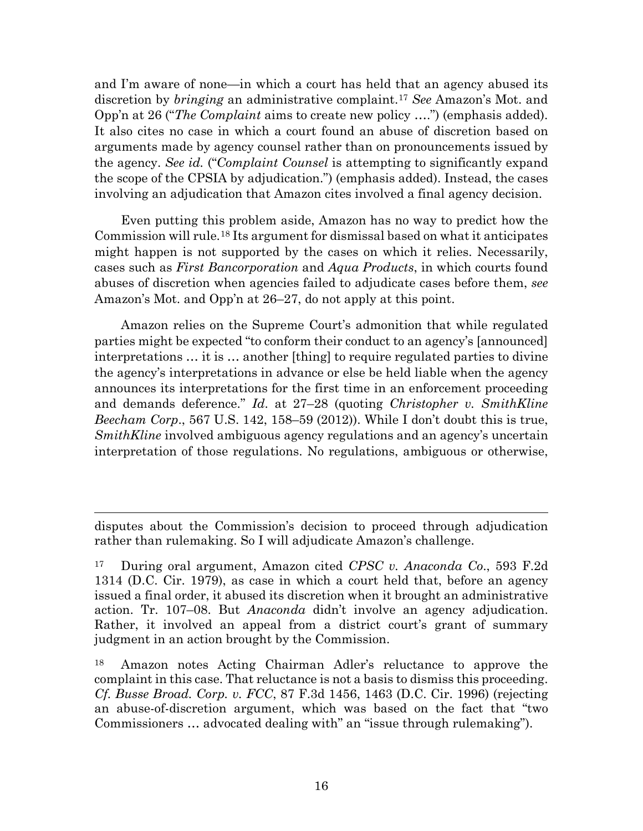and I'm aware of none—in which a court has held that an agency abused its discretion by *bringing* an administrative complaint.17 *See* Amazon's Mot. and Opp'n at 26 ("*The Complaint* aims to create new policy ….") (emphasis added). It also cites no case in which a court found an abuse of discretion based on arguments made by agency counsel rather than on pronouncements issued by the agency. *See id.* ("*Complaint Counsel* is attempting to significantly expand the scope of the CPSIA by adjudication.") (emphasis added). Instead, the cases involving an adjudication that Amazon cites involved a final agency decision.

Even putting this problem aside, Amazon has no way to predict how the Commission will rule.18 Its argument for dismissal based on what it anticipates might happen is not supported by the cases on which it relies. Necessarily, cases such as *First Bancorporation* and *Aqua Products*, in which courts found abuses of discretion when agencies failed to adjudicate cases before them, *see* Amazon's Mot. and Opp'n at 26–27, do not apply at this point.

Amazon relies on the Supreme Court's admonition that while regulated parties might be expected "to conform their conduct to an agency's [announced] interpretations … it is … another [thing] to require regulated parties to divine the agency's interpretations in advance or else be held liable when the agency announces its interpretations for the first time in an enforcement proceeding and demands deference." *Id*. at 27–28 (quoting *Christopher v. SmithKline Beecham Corp*., 567 U.S. 142, 158–59 (2012)). While I don't doubt this is true, *SmithKline* involved ambiguous agency regulations and an agency's uncertain interpretation of those regulations. No regulations, ambiguous or otherwise,

 $\overline{a}$ 

disputes about the Commission's decision to proceed through adjudication rather than rulemaking. So I will adjudicate Amazon's challenge.

<sup>17</sup> During oral argument, Amazon cited *CPSC v. Anaconda Co*., 593 F.2d 1314 (D.C. Cir. 1979), as case in which a court held that, before an agency issued a final order, it abused its discretion when it brought an administrative action. Tr. 107–08. But *Anaconda* didn't involve an agency adjudication. Rather, it involved an appeal from a district court's grant of summary judgment in an action brought by the Commission.

<sup>18</sup> Amazon notes Acting Chairman Adler's reluctance to approve the complaint in this case. That reluctance is not a basis to dismiss this proceeding. *Cf. Busse Broad. Corp. v. FCC*, 87 F.3d 1456, 1463 (D.C. Cir. 1996) (rejecting an abuse-of-discretion argument, which was based on the fact that "two Commissioners … advocated dealing with" an "issue through rulemaking").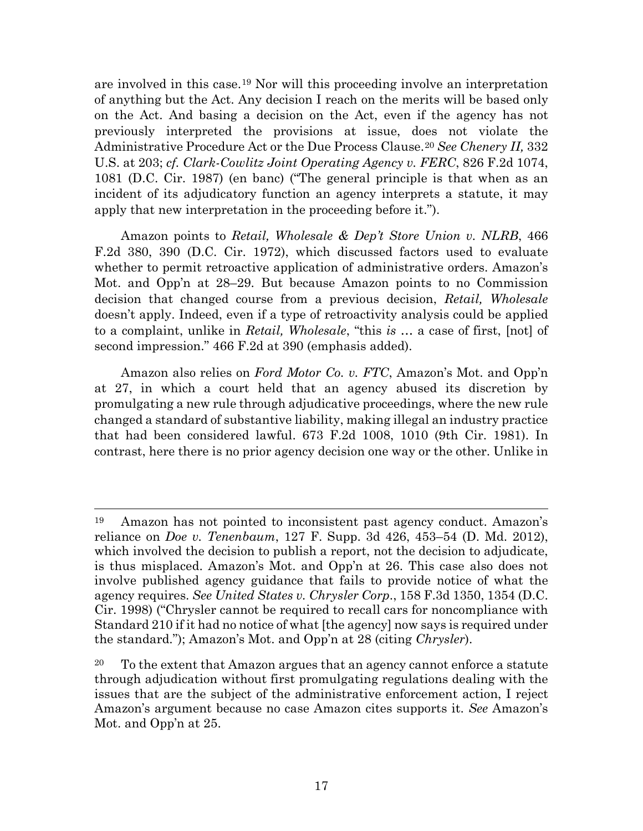are involved in this case.19 Nor will this proceeding involve an interpretation of anything but the Act. Any decision I reach on the merits will be based only on the Act. And basing a decision on the Act, even if the agency has not previously interpreted the provisions at issue, does not violate the Administrative Procedure Act or the Due Process Clause.20 *See Chenery II,* 332 U.S. at 203; *cf. Clark-Cowlitz Joint Operating Agency v. FERC*, 826 F.2d 1074, 1081 (D.C. Cir. 1987) (en banc) ("The general principle is that when as an incident of its adjudicatory function an agency interprets a statute, it may apply that new interpretation in the proceeding before it.").

Amazon points to *Retail, Wholesale & Dep't Store Union v. NLRB*, 466 F.2d 380, 390 (D.C. Cir. 1972), which discussed factors used to evaluate whether to permit retroactive application of administrative orders. Amazon's Mot. and Opp'n at 28–29. But because Amazon points to no Commission decision that changed course from a previous decision, *Retail, Wholesale* doesn't apply. Indeed, even if a type of retroactivity analysis could be applied to a complaint, unlike in *Retail, Wholesale*, "this *is* … a case of first, [not] of second impression." 466 F.2d at 390 (emphasis added).

Amazon also relies on *Ford Motor Co. v. FTC*, Amazon's Mot. and Opp'n at 27, in which a court held that an agency abused its discretion by promulgating a new rule through adjudicative proceedings, where the new rule changed a standard of substantive liability, making illegal an industry practice that had been considered lawful. 673 F.2d 1008, 1010 (9th Cir. 1981). In contrast, here there is no prior agency decision one way or the other. Unlike in

 <sup>19</sup> Amazon has not pointed to inconsistent past agency conduct. Amazon's reliance on *Doe v. Tenenbaum*, 127 F. Supp. 3d 426, 453–54 (D. Md. 2012), which involved the decision to publish a report, not the decision to adjudicate, is thus misplaced. Amazon's Mot. and Opp'n at 26. This case also does not involve published agency guidance that fails to provide notice of what the agency requires. *See United States v. Chrysler Corp*., 158 F.3d 1350, 1354 (D.C. Cir. 1998) ("Chrysler cannot be required to recall cars for noncompliance with Standard 210 if it had no notice of what [the agency] now says is required under the standard."); Amazon's Mot. and Opp'n at 28 (citing *Chrysler*).

 $20$  To the extent that Amazon argues that an agency cannot enforce a statute through adjudication without first promulgating regulations dealing with the issues that are the subject of the administrative enforcement action, I reject Amazon's argument because no case Amazon cites supports it. *See* Amazon's Mot. and Opp'n at 25.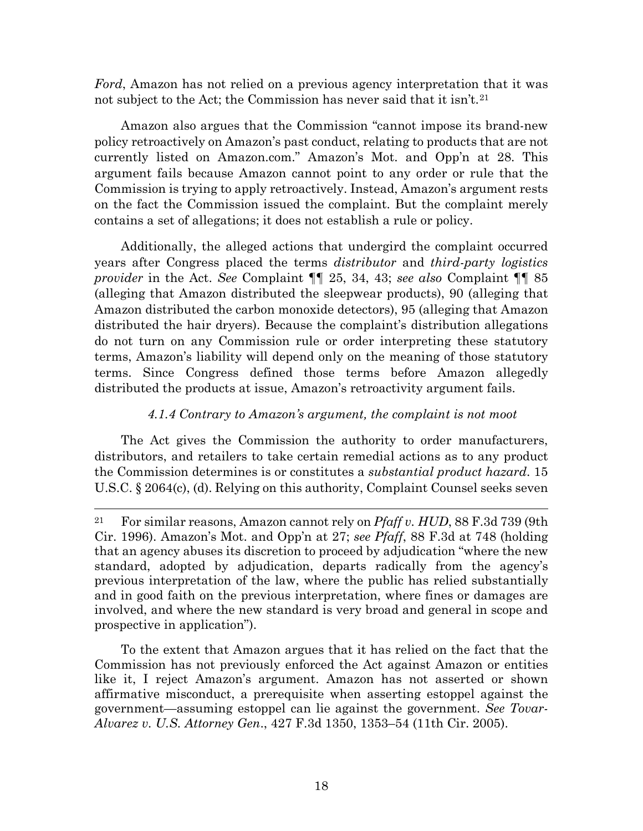*Ford*, Amazon has not relied on a previous agency interpretation that it was not subject to the Act; the Commission has never said that it isn't.<sup>21</sup>

Amazon also argues that the Commission "cannot impose its brand-new policy retroactively on Amazon's past conduct, relating to products that are not currently listed on Amazon.com." Amazon's Mot. and Opp'n at 28. This argument fails because Amazon cannot point to any order or rule that the Commission is trying to apply retroactively. Instead, Amazon's argument rests on the fact the Commission issued the complaint. But the complaint merely contains a set of allegations; it does not establish a rule or policy.

Additionally, the alleged actions that undergird the complaint occurred years after Congress placed the terms *distributor* and *third-party logistics provider* in the Act. *See* Complaint ¶¶ 25, 34, 43; *see also* Complaint ¶¶ 85 (alleging that Amazon distributed the sleepwear products), 90 (alleging that Amazon distributed the carbon monoxide detectors), 95 (alleging that Amazon distributed the hair dryers). Because the complaint's distribution allegations do not turn on any Commission rule or order interpreting these statutory terms, Amazon's liability will depend only on the meaning of those statutory terms. Since Congress defined those terms before Amazon allegedly distributed the products at issue, Amazon's retroactivity argument fails.

## *4.1.4 Contrary to Amazon's argument, the complaint is not moot*

The Act gives the Commission the authority to order manufacturers, distributors, and retailers to take certain remedial actions as to any product the Commission determines is or constitutes a *substantial product hazard*. 15 U.S.C. § 2064(c), (d). Relying on this authority, Complaint Counsel seeks seven

To the extent that Amazon argues that it has relied on the fact that the Commission has not previously enforced the Act against Amazon or entities like it, I reject Amazon's argument. Amazon has not asserted or shown affirmative misconduct, a prerequisite when asserting estoppel against the government—assuming estoppel can lie against the government. *See Tovar-Alvarez v. U.S. Attorney Gen*., 427 F.3d 1350, 1353–54 (11th Cir. 2005).

 <sup>21</sup> For similar reasons, Amazon cannot rely on *Pfaff v. HUD*, 88 F.3d 739 (9th Cir. 1996). Amazon's Mot. and Opp'n at 27; *see Pfaff*, 88 F.3d at 748 (holding that an agency abuses its discretion to proceed by adjudication "where the new standard, adopted by adjudication, departs radically from the agency's previous interpretation of the law, where the public has relied substantially and in good faith on the previous interpretation, where fines or damages are involved, and where the new standard is very broad and general in scope and prospective in application").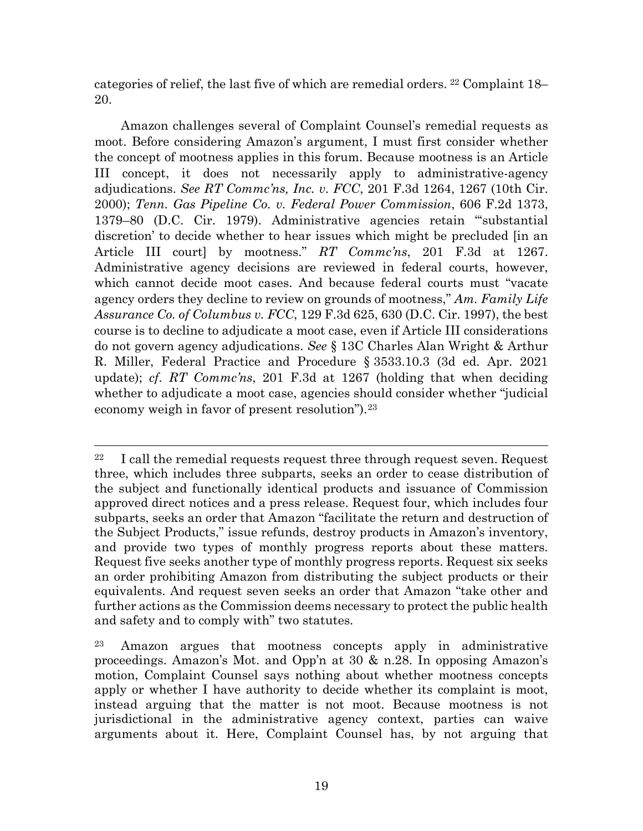categories of relief, the last five of which are remedial orders. <sup>22</sup> Complaint 18– 20.

Amazon challenges several of Complaint Counsel's remedial requests as moot. Before considering Amazon's argument, I must first consider whether the concept of mootness applies in this forum. Because mootness is an Article III concept, it does not necessarily apply to administrative-agency adjudications. *See RT Commc'ns, Inc. v. FCC*, 201 F.3d 1264, 1267 (10th Cir. 2000); *Tenn. Gas Pipeline Co. v. Federal Power Commission*, 606 F.2d 1373, 1379–80 (D.C. Cir. 1979). Administrative agencies retain "'substantial discretion' to decide whether to hear issues which might be precluded [in an Article III court] by mootness." *RT Commc'ns*, 201 F.3d at 1267. Administrative agency decisions are reviewed in federal courts, however, which cannot decide moot cases. And because federal courts must "vacate agency orders they decline to review on grounds of mootness," *Am. Family Life Assurance Co. of Columbus v. FCC*, 129 F.3d 625, 630 (D.C. Cir. 1997), the best course is to decline to adjudicate a moot case, even if Article III considerations do not govern agency adjudications. *See* § 13C Charles Alan Wright & Arthur R. Miller, Federal Practice and Procedure § 3533.10.3 (3d ed. Apr. 2021 update); *cf*. *RT Commc'ns*, 201 F.3d at 1267 (holding that when deciding whether to adjudicate a moot case, agencies should consider whether "judicial economy weigh in favor of present resolution").23

 $22$  I call the remedial requests request three through request seven. Request three, which includes three subparts, seeks an order to cease distribution of the subject and functionally identical products and issuance of Commission approved direct notices and a press release. Request four, which includes four subparts, seeks an order that Amazon "facilitate the return and destruction of the Subject Products," issue refunds, destroy products in Amazon's inventory, and provide two types of monthly progress reports about these matters. Request five seeks another type of monthly progress reports. Request six seeks an order prohibiting Amazon from distributing the subject products or their equivalents. And request seven seeks an order that Amazon "take other and further actions as the Commission deems necessary to protect the public health and safety and to comply with" two statutes.

<sup>23</sup> Amazon argues that mootness concepts apply in administrative proceedings. Amazon's Mot. and Opp'n at 30 & n.28. In opposing Amazon's motion, Complaint Counsel says nothing about whether mootness concepts apply or whether I have authority to decide whether its complaint is moot, instead arguing that the matter is not moot. Because mootness is not jurisdictional in the administrative agency context, parties can waive arguments about it. Here, Complaint Counsel has, by not arguing that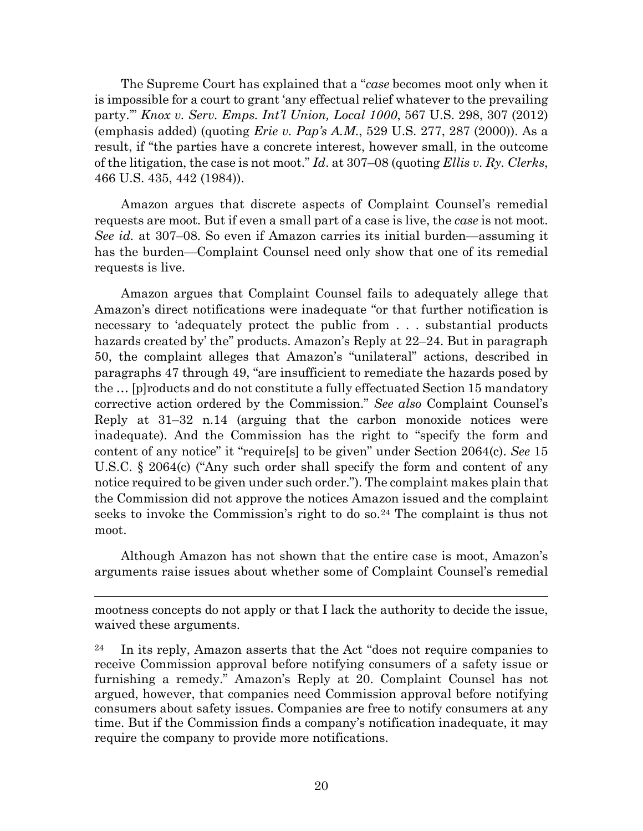The Supreme Court has explained that a "*case* becomes moot only when it is impossible for a court to grant 'any effectual relief whatever to the prevailing party.'" *Knox v. Serv. Emps. Int'l Union, Local 1000*, 567 U.S. 298, 307 (2012) (emphasis added) (quoting *Erie v. Pap's A.M*., 529 U.S. 277, 287 (2000)). As a result, if "the parties have a concrete interest, however small, in the outcome of the litigation, the case is not moot." *Id*. at 307–08 (quoting *Ellis v. Ry. Clerks*, 466 U.S. 435, 442 (1984)).

Amazon argues that discrete aspects of Complaint Counsel's remedial requests are moot. But if even a small part of a case is live, the *case* is not moot. *See id.* at 307–08. So even if Amazon carries its initial burden—assuming it has the burden—Complaint Counsel need only show that one of its remedial requests is live.

Amazon argues that Complaint Counsel fails to adequately allege that Amazon's direct notifications were inadequate "or that further notification is necessary to 'adequately protect the public from . . . substantial products hazards created by' the" products. Amazon's Reply at 22–24. But in paragraph 50, the complaint alleges that Amazon's "unilateral" actions, described in paragraphs 47 through 49, "are insufficient to remediate the hazards posed by the … [p]roducts and do not constitute a fully effectuated Section 15 mandatory corrective action ordered by the Commission." *See also* Complaint Counsel's Reply at 31–32 n.14 (arguing that the carbon monoxide notices were inadequate). And the Commission has the right to "specify the form and content of any notice" it "require[s] to be given" under Section 2064(c). *See* 15 U.S.C. § 2064(c) ("Any such order shall specify the form and content of any notice required to be given under such order."). The complaint makes plain that the Commission did not approve the notices Amazon issued and the complaint seeks to invoke the Commission's right to do so.<sup>24</sup> The complaint is thus not moot.

Although Amazon has not shown that the entire case is moot, Amazon's arguments raise issues about whether some of Complaint Counsel's remedial

mootness concepts do not apply or that I lack the authority to decide the issue, waived these arguments.

 $\overline{a}$ 

<sup>24</sup> In its reply, Amazon asserts that the Act "does not require companies to receive Commission approval before notifying consumers of a safety issue or furnishing a remedy." Amazon's Reply at 20. Complaint Counsel has not argued, however, that companies need Commission approval before notifying consumers about safety issues. Companies are free to notify consumers at any time. But if the Commission finds a company's notification inadequate, it may require the company to provide more notifications.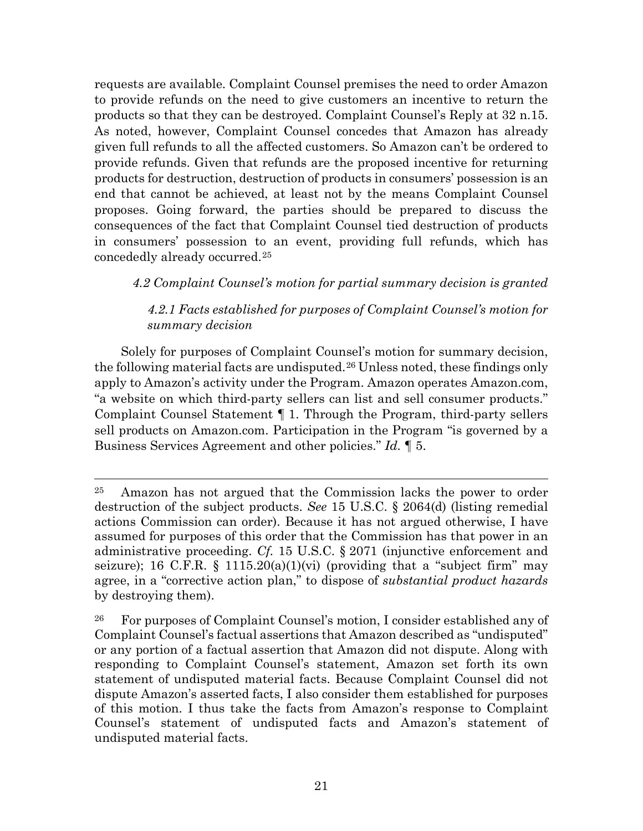requests are available. Complaint Counsel premises the need to order Amazon to provide refunds on the need to give customers an incentive to return the products so that they can be destroyed. Complaint Counsel's Reply at 32 n.15. As noted, however, Complaint Counsel concedes that Amazon has already given full refunds to all the affected customers. So Amazon can't be ordered to provide refunds. Given that refunds are the proposed incentive for returning products for destruction, destruction of products in consumers' possession is an end that cannot be achieved, at least not by the means Complaint Counsel proposes. Going forward, the parties should be prepared to discuss the consequences of the fact that Complaint Counsel tied destruction of products in consumers' possession to an event, providing full refunds, which has concededly already occurred.25

# *4.2 Complaint Counsel's motion for partial summary decision is granted*

# *4.2.1 Facts established for purposes of Complaint Counsel's motion for summary decision*

Solely for purposes of Complaint Counsel's motion for summary decision, the following material facts are undisputed.<sup>26</sup> Unless noted, these findings only apply to Amazon's activity under the Program. Amazon operates Amazon.com, "a website on which third-party sellers can list and sell consumer products." Complaint Counsel Statement ¶ 1. Through the Program, third-party sellers sell products on Amazon.com. Participation in the Program "is governed by a Business Services Agreement and other policies." *Id.* ¶ 5.

 <sup>25</sup> Amazon has not argued that the Commission lacks the power to order destruction of the subject products. *See* 15 U.S.C. § 2064(d) (listing remedial actions Commission can order). Because it has not argued otherwise, I have assumed for purposes of this order that the Commission has that power in an administrative proceeding. *Cf.* 15 U.S.C. § 2071 (injunctive enforcement and seizure); 16 C.F.R. § 1115.20(a)(1)(vi) (providing that a "subject firm" may agree, in a "corrective action plan," to dispose of *substantial product hazards* by destroying them).

<sup>26</sup> For purposes of Complaint Counsel's motion, I consider established any of Complaint Counsel's factual assertions that Amazon described as "undisputed" or any portion of a factual assertion that Amazon did not dispute. Along with responding to Complaint Counsel's statement, Amazon set forth its own statement of undisputed material facts. Because Complaint Counsel did not dispute Amazon's asserted facts, I also consider them established for purposes of this motion. I thus take the facts from Amazon's response to Complaint Counsel's statement of undisputed facts and Amazon's statement of undisputed material facts.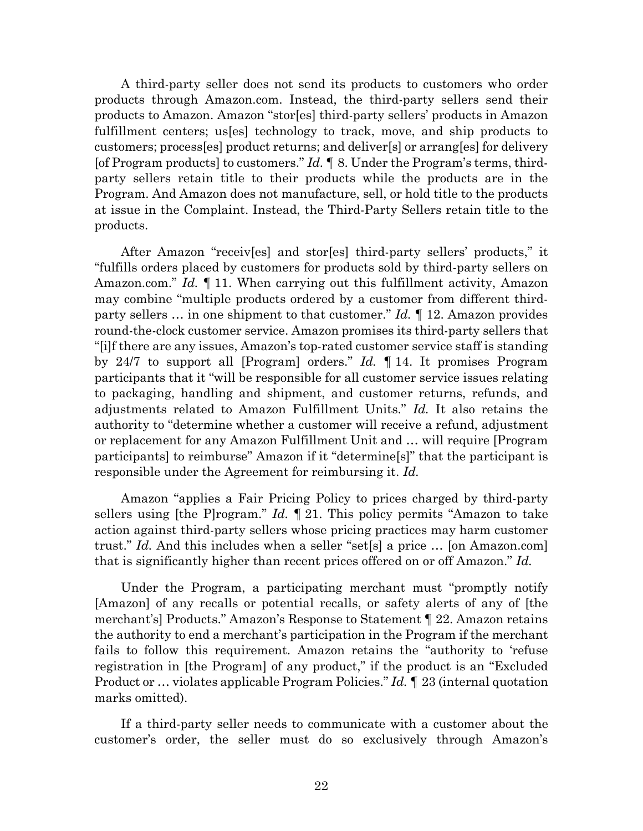A third-party seller does not send its products to customers who order products through Amazon.com. Instead, the third-party sellers send their products to Amazon. Amazon "stor[es] third-party sellers' products in Amazon fulfillment centers; us[es] technology to track, move, and ship products to customers; process[es] product returns; and deliver[s] or arrang[es] for delivery [of Program products] to customers." *Id.* ¶ 8. Under the Program's terms, thirdparty sellers retain title to their products while the products are in the Program. And Amazon does not manufacture, sell, or hold title to the products at issue in the Complaint. Instead, the Third-Party Sellers retain title to the products.

After Amazon "receiv[es] and stor[es] third-party sellers' products," it "fulfills orders placed by customers for products sold by third-party sellers on Amazon.com." *Id.* ¶ 11. When carrying out this fulfillment activity, Amazon may combine "multiple products ordered by a customer from different thirdparty sellers … in one shipment to that customer." *Id.* ¶ 12. Amazon provides round-the-clock customer service. Amazon promises its third-party sellers that "[i]f there are any issues, Amazon's top-rated customer service staff is standing by 24/7 to support all [Program] orders." *Id.* ¶ 14. It promises Program participants that it "will be responsible for all customer service issues relating to packaging, handling and shipment, and customer returns, refunds, and adjustments related to Amazon Fulfillment Units." *Id.* It also retains the authority to "determine whether a customer will receive a refund, adjustment or replacement for any Amazon Fulfillment Unit and … will require [Program participants] to reimburse" Amazon if it "determine[s]" that the participant is responsible under the Agreement for reimbursing it. *Id.*

Amazon "applies a Fair Pricing Policy to prices charged by third-party sellers using [the P]rogram." *Id.* ¶ 21. This policy permits "Amazon to take action against third-party sellers whose pricing practices may harm customer trust." *Id.* And this includes when a seller "set[s] a price … [on Amazon.com] that is significantly higher than recent prices offered on or off Amazon." *Id.*

Under the Program, a participating merchant must "promptly notify [Amazon] of any recalls or potential recalls, or safety alerts of any of [the merchant's] Products." Amazon's Response to Statement ¶ 22. Amazon retains the authority to end a merchant's participation in the Program if the merchant fails to follow this requirement. Amazon retains the "authority to 'refuse registration in [the Program] of any product," if the product is an "Excluded Product or … violates applicable Program Policies." *Id. ¶* 23 (internal quotation marks omitted).

If a third-party seller needs to communicate with a customer about the customer's order, the seller must do so exclusively through Amazon's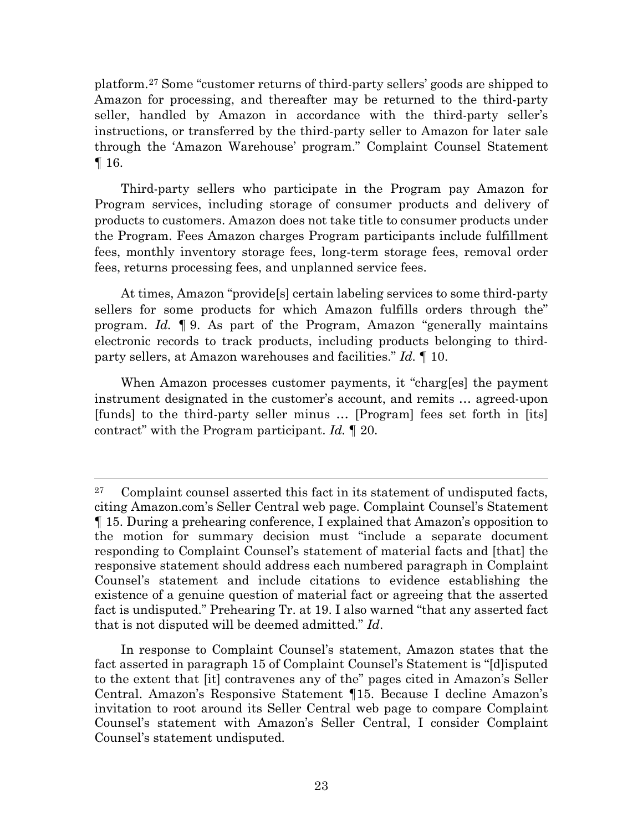platform.27 Some "customer returns of third-party sellers' goods are shipped to Amazon for processing, and thereafter may be returned to the third-party seller, handled by Amazon in accordance with the third-party seller's instructions, or transferred by the third-party seller to Amazon for later sale through the 'Amazon Warehouse' program." Complaint Counsel Statement ¶ 16.

Third-party sellers who participate in the Program pay Amazon for Program services, including storage of consumer products and delivery of products to customers. Amazon does not take title to consumer products under the Program. Fees Amazon charges Program participants include fulfillment fees, monthly inventory storage fees, long-term storage fees, removal order fees, returns processing fees, and unplanned service fees.

At times, Amazon "provide[s] certain labeling services to some third-party sellers for some products for which Amazon fulfills orders through the" program. *Id.* ¶ 9. As part of the Program, Amazon "generally maintains electronic records to track products, including products belonging to thirdparty sellers, at Amazon warehouses and facilities." *Id.* ¶ 10.

When Amazon processes customer payments, it "charg[es] the payment instrument designated in the customer's account, and remits … agreed-upon [funds] to the third-party seller minus … [Program] fees set forth in [its] contract" with the Program participant. *Id.* ¶ 20.

In response to Complaint Counsel's statement, Amazon states that the fact asserted in paragraph 15 of Complaint Counsel's Statement is "[d]isputed to the extent that [it] contravenes any of the" pages cited in Amazon's Seller Central. Amazon's Responsive Statement ¶15. Because I decline Amazon's invitation to root around its Seller Central web page to compare Complaint Counsel's statement with Amazon's Seller Central, I consider Complaint Counsel's statement undisputed.

 $27$  Complaint counsel asserted this fact in its statement of undisputed facts, citing Amazon.com's Seller Central web page. Complaint Counsel's Statement ¶ 15. During a prehearing conference, I explained that Amazon's opposition to the motion for summary decision must "include a separate document responding to Complaint Counsel's statement of material facts and [that] the responsive statement should address each numbered paragraph in Complaint Counsel's statement and include citations to evidence establishing the existence of a genuine question of material fact or agreeing that the asserted fact is undisputed." Prehearing Tr. at 19. I also warned "that any asserted fact that is not disputed will be deemed admitted." *Id*.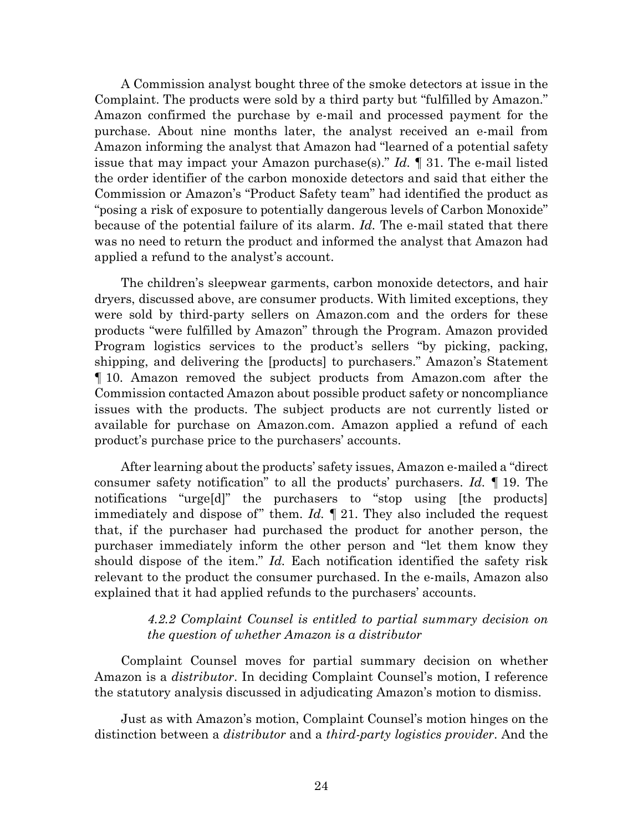A Commission analyst bought three of the smoke detectors at issue in the Complaint. The products were sold by a third party but "fulfilled by Amazon." Amazon confirmed the purchase by e-mail and processed payment for the purchase. About nine months later, the analyst received an e-mail from Amazon informing the analyst that Amazon had "learned of a potential safety issue that may impact your Amazon purchase(s)." *Id.* ¶ 31. The e-mail listed the order identifier of the carbon monoxide detectors and said that either the Commission or Amazon's "Product Safety team" had identified the product as "posing a risk of exposure to potentially dangerous levels of Carbon Monoxide" because of the potential failure of its alarm. *Id.* The e-mail stated that there was no need to return the product and informed the analyst that Amazon had applied a refund to the analyst's account.

The children's sleepwear garments, carbon monoxide detectors, and hair dryers, discussed above, are consumer products. With limited exceptions, they were sold by third-party sellers on Amazon.com and the orders for these products "were fulfilled by Amazon" through the Program. Amazon provided Program logistics services to the product's sellers "by picking, packing, shipping, and delivering the [products] to purchasers." Amazon's Statement ¶ 10. Amazon removed the subject products from Amazon.com after the Commission contacted Amazon about possible product safety or noncompliance issues with the products. The subject products are not currently listed or available for purchase on Amazon.com. Amazon applied a refund of each product's purchase price to the purchasers' accounts.

After learning about the products' safety issues, Amazon e-mailed a "direct consumer safety notification" to all the products' purchasers. *Id.* ¶ 19. The notifications "urge[d]" the purchasers to "stop using [the products] immediately and dispose of" them. *Id.* ¶ 21. They also included the request that, if the purchaser had purchased the product for another person, the purchaser immediately inform the other person and "let them know they should dispose of the item." *Id.* Each notification identified the safety risk relevant to the product the consumer purchased. In the e-mails, Amazon also explained that it had applied refunds to the purchasers' accounts.

### *4.2.2 Complaint Counsel is entitled to partial summary decision on the question of whether Amazon is a distributor*

Complaint Counsel moves for partial summary decision on whether Amazon is a *distributor*. In deciding Complaint Counsel's motion, I reference the statutory analysis discussed in adjudicating Amazon's motion to dismiss.

Just as with Amazon's motion, Complaint Counsel's motion hinges on the distinction between a *distributor* and a *third-party logistics provider*. And the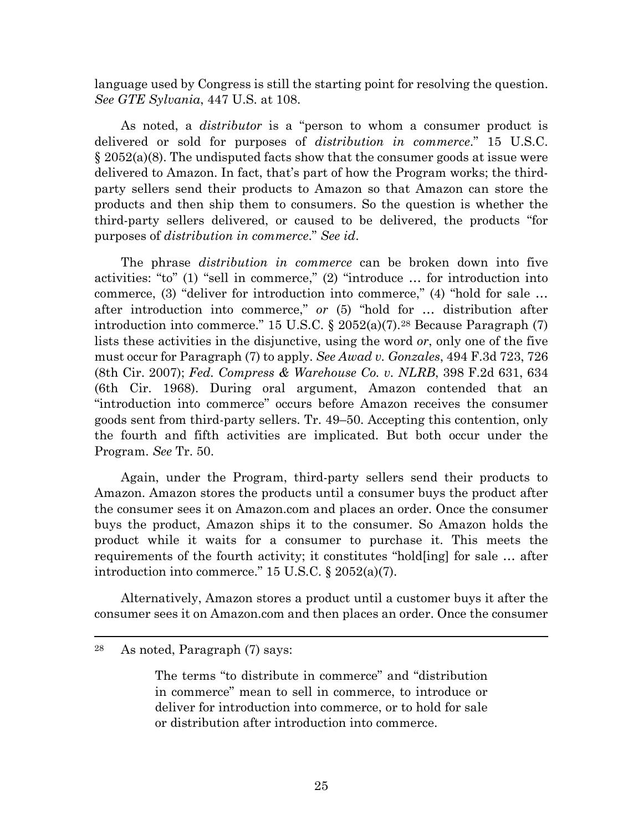language used by Congress is still the starting point for resolving the question. *See GTE Sylvania*, 447 U.S. at 108.

As noted, a *distributor* is a "person to whom a consumer product is delivered or sold for purposes of *distribution in commerce*." 15 U.S.C.  $\S 2052(a)(8)$ . The undisputed facts show that the consumer goods at issue were delivered to Amazon. In fact, that's part of how the Program works; the thirdparty sellers send their products to Amazon so that Amazon can store the products and then ship them to consumers. So the question is whether the third-party sellers delivered, or caused to be delivered, the products "for purposes of *distribution in commerce*." *See id*.

The phrase *distribution in commerce* can be broken down into five activities: "to" (1) "sell in commerce," (2) "introduce … for introduction into commerce, (3) "deliver for introduction into commerce," (4) "hold for sale … after introduction into commerce," *or* (5) "hold for … distribution after introduction into commerce." 15 U.S.C.  $\S$  2052(a)(7).<sup>28</sup> Because Paragraph (7) lists these activities in the disjunctive, using the word *or*, only one of the five must occur for Paragraph (7) to apply. *See Awad v. Gonzales*, 494 F.3d 723, 726 (8th Cir. 2007); *Fed. Compress & Warehouse Co. v. NLRB*, 398 F.2d 631, 634 (6th Cir. 1968). During oral argument, Amazon contended that an "introduction into commerce" occurs before Amazon receives the consumer goods sent from third-party sellers. Tr. 49–50. Accepting this contention, only the fourth and fifth activities are implicated. But both occur under the Program. *See* Tr. 50.

Again, under the Program, third-party sellers send their products to Amazon. Amazon stores the products until a consumer buys the product after the consumer sees it on Amazon.com and places an order. Once the consumer buys the product, Amazon ships it to the consumer. So Amazon holds the product while it waits for a consumer to purchase it. This meets the requirements of the fourth activity; it constitutes "hold[ing] for sale … after introduction into commerce." 15 U.S.C. § 2052(a)(7).

Alternatively, Amazon stores a product until a customer buys it after the consumer sees it on Amazon.com and then places an order. Once the consumer

 <sup>28</sup> As noted, Paragraph (7) says:

The terms "to distribute in commerce" and "distribution in commerce" mean to sell in commerce, to introduce or deliver for introduction into commerce, or to hold for sale or distribution after introduction into commerce.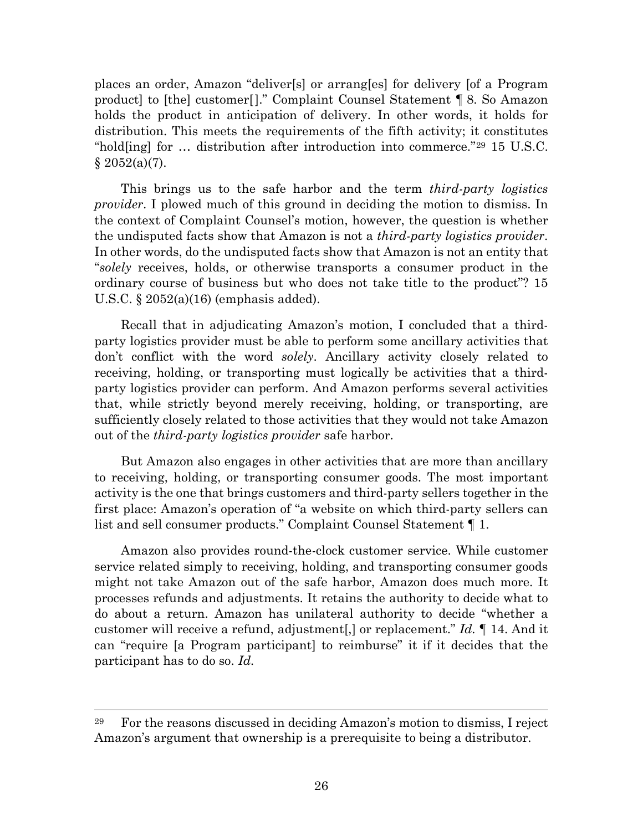places an order, Amazon "deliver[s] or arrang[es] for delivery [of a Program product] to [the] customer[]." Complaint Counsel Statement ¶ 8. So Amazon holds the product in anticipation of delivery. In other words, it holds for distribution. This meets the requirements of the fifth activity; it constitutes "hold[ing] for … distribution after introduction into commerce."29 15 U.S.C.  $§ 2052(a)(7).$ 

This brings us to the safe harbor and the term *third-party logistics provider*. I plowed much of this ground in deciding the motion to dismiss. In the context of Complaint Counsel's motion, however, the question is whether the undisputed facts show that Amazon is not a *third-party logistics provider*. In other words, do the undisputed facts show that Amazon is not an entity that "*solely* receives, holds, or otherwise transports a consumer product in the ordinary course of business but who does not take title to the product"? 15 U.S.C. § 2052(a)(16) (emphasis added).

Recall that in adjudicating Amazon's motion, I concluded that a thirdparty logistics provider must be able to perform some ancillary activities that don't conflict with the word *solely*. Ancillary activity closely related to receiving, holding, or transporting must logically be activities that a thirdparty logistics provider can perform. And Amazon performs several activities that, while strictly beyond merely receiving, holding, or transporting, are sufficiently closely related to those activities that they would not take Amazon out of the *third-party logistics provider* safe harbor.

But Amazon also engages in other activities that are more than ancillary to receiving, holding, or transporting consumer goods. The most important activity is the one that brings customers and third-party sellers together in the first place: Amazon's operation of "a website on which third-party sellers can list and sell consumer products." Complaint Counsel Statement ¶ 1.

Amazon also provides round-the-clock customer service. While customer service related simply to receiving, holding, and transporting consumer goods might not take Amazon out of the safe harbor, Amazon does much more. It processes refunds and adjustments. It retains the authority to decide what to do about a return. Amazon has unilateral authority to decide "whether a customer will receive a refund, adjustment[,] or replacement." *Id.* ¶ 14. And it can "require [a Program participant] to reimburse" it if it decides that the participant has to do so. *Id.*

 <sup>29</sup> For the reasons discussed in deciding Amazon's motion to dismiss, I reject Amazon's argument that ownership is a prerequisite to being a distributor.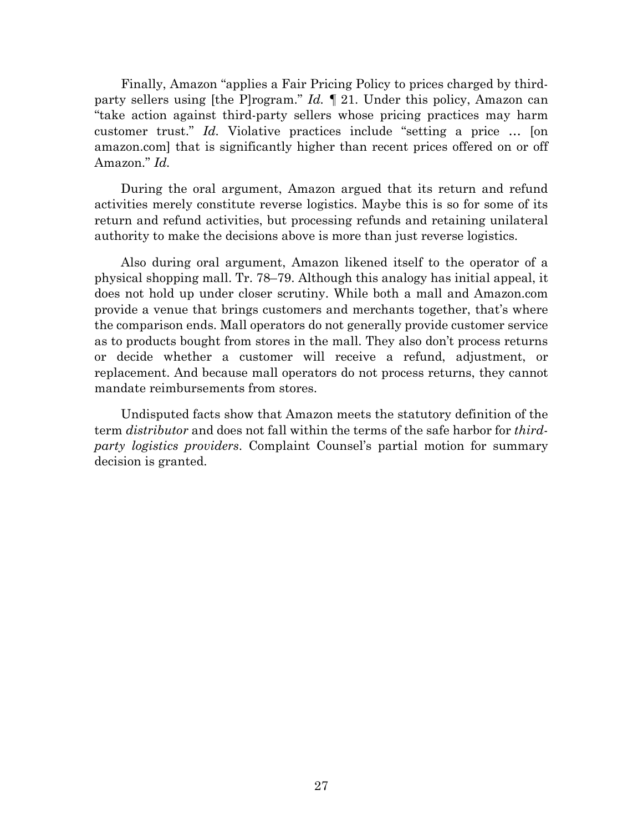Finally, Amazon "applies a Fair Pricing Policy to prices charged by thirdparty sellers using [the P]rogram." *Id. ¶* 21. Under this policy, Amazon can "take action against third-party sellers whose pricing practices may harm customer trust." *Id.* Violative practices include "setting a price … [on amazon.com] that is significantly higher than recent prices offered on or off Amazon." *Id.*

During the oral argument, Amazon argued that its return and refund activities merely constitute reverse logistics. Maybe this is so for some of its return and refund activities, but processing refunds and retaining unilateral authority to make the decisions above is more than just reverse logistics.

Also during oral argument, Amazon likened itself to the operator of a physical shopping mall. Tr. 78–79. Although this analogy has initial appeal, it does not hold up under closer scrutiny. While both a mall and Amazon.com provide a venue that brings customers and merchants together, that's where the comparison ends. Mall operators do not generally provide customer service as to products bought from stores in the mall. They also don't process returns or decide whether a customer will receive a refund, adjustment, or replacement. And because mall operators do not process returns, they cannot mandate reimbursements from stores.

Undisputed facts show that Amazon meets the statutory definition of the term *distributor* and does not fall within the terms of the safe harbor for *thirdparty logistics providers*. Complaint Counsel's partial motion for summary decision is granted.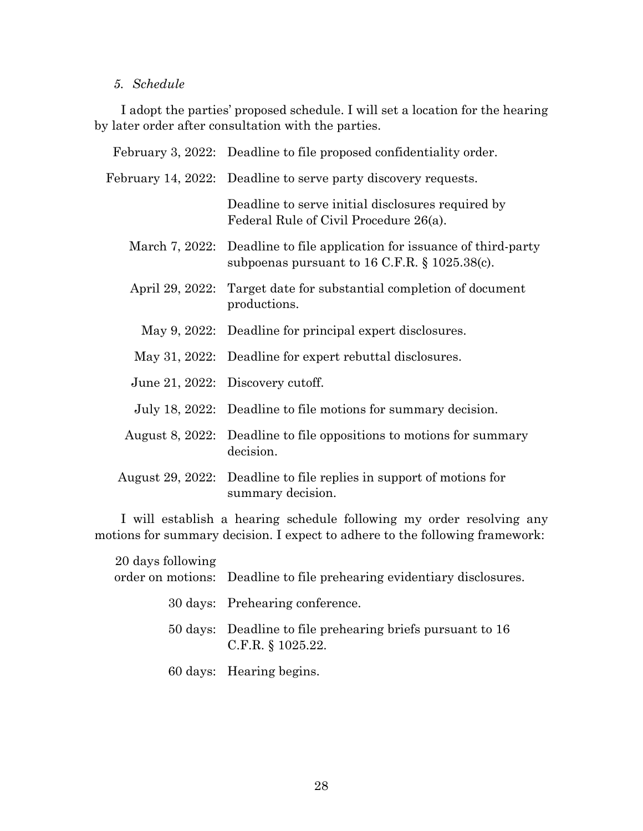# *5. Schedule*

I adopt the parties' proposed schedule. I will set a location for the hearing by later order after consultation with the parties.

| February 3, 2022: Deadline to file proposed confidentiality order.                                                            |
|-------------------------------------------------------------------------------------------------------------------------------|
| February 14, 2022: Deadline to serve party discovery requests.                                                                |
| Deadline to serve initial disclosures required by<br>Federal Rule of Civil Procedure 26(a).                                   |
| March 7, 2022: Deadline to file application for issuance of third-party<br>subpoenas pursuant to $16$ C.F.R. § $1025.38(c)$ . |
| April 29, 2022: Target date for substantial completion of document<br>productions.                                            |
| May 9, 2022: Deadline for principal expert disclosures.                                                                       |
| May 31, 2022: Deadline for expert rebuttal disclosures.                                                                       |
| June 21, 2022: Discovery cutoff.                                                                                              |
| July 18, 2022: Deadline to file motions for summary decision.                                                                 |
| August 8, 2022: Deadline to file oppositions to motions for summary<br>decision.                                              |
| August 29, 2022: Deadline to file replies in support of motions for<br>summary decision.                                      |

I will establish a hearing schedule following my order resolving any motions for summary decision. I expect to adhere to the following framework:

| 20 days following |                                                                                   |
|-------------------|-----------------------------------------------------------------------------------|
|                   | order on motions: Deadline to file prehearing evidentiary disclosures.            |
|                   | 30 days: Prehearing conference.                                                   |
|                   | 50 days: Deadline to file prehearing briefs pursuant to 16<br>C.F.R. $§$ 1025.22. |
|                   | 60 days: Hearing begins.                                                          |